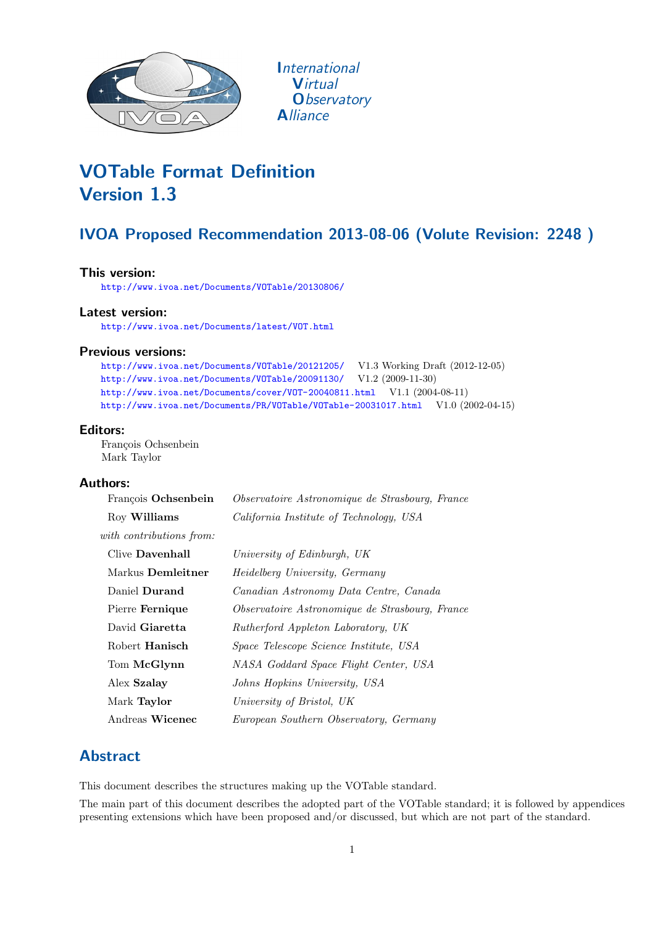

**International Virtual O**bservatory **Alliance** 

# VOTable Format Definition Version 1.3

# IVOA Proposed Recommendation 2013-08-06 (Volute Revision: 2248 )

#### This version:

<http://www.ivoa.net/Documents/VOTable/20130806/>

#### Latest version:

<http://www.ivoa.net/Documents/latest/VOT.html>

#### Previous versions:

```
http://www.ivoa.net/Documents/VOTable/20121205/ V1.3 Working Draft (2012-12-05)
http://www.ivoa.net/Documents/VOTable/20091130/ V1.2 (2009-11-30)
http://www.ivoa.net/Documents/cover/VOT-20040811.html V1.1 (2004-08-11)
http://www.ivoa.net/Documents/PR/VOTable/VOTable-20031017.html V1.0 (2002-04-15)
```
#### Editors:

François Ochsenbein Mark Taylor

#### Authors:

| François Ochsenbein      | Observatoire Astronomique de Strasbourg, France |
|--------------------------|-------------------------------------------------|
| Roy Williams             | California Institute of Technology, USA         |
| with contributions from: |                                                 |
| Clive Davenhall          | University of Edinburgh, UK                     |
| Markus Demleitner        | <i>Heidelberg University, Germany</i>           |
| Daniel Durand            | Canadian Astronomy Data Centre, Canada          |
| Pierre Fernique          | Observatoire Astronomique de Strasbourg, France |
| David Giaretta           | Rutherford Appleton Laboratory, UK              |
| Robert <b>Hanisch</b>    | <i>Space Telescope Science Institute, USA</i>   |
| Tom McGlynn              | NASA Goddard Space Flight Center, USA           |
| Alex Szalay              | Johns Hopkins University, USA                   |
| Mark Taylor              | University of Bristol, UK                       |
| Andreas Wicenec          | European Southern Observatory, Germany          |

# Abstract

This document describes the structures making up the VOTable standard.

The main part of this document describes the adopted part of the VOTable standard; it is followed by appendices presenting extensions which have been proposed and/or discussed, but which are not part of the standard.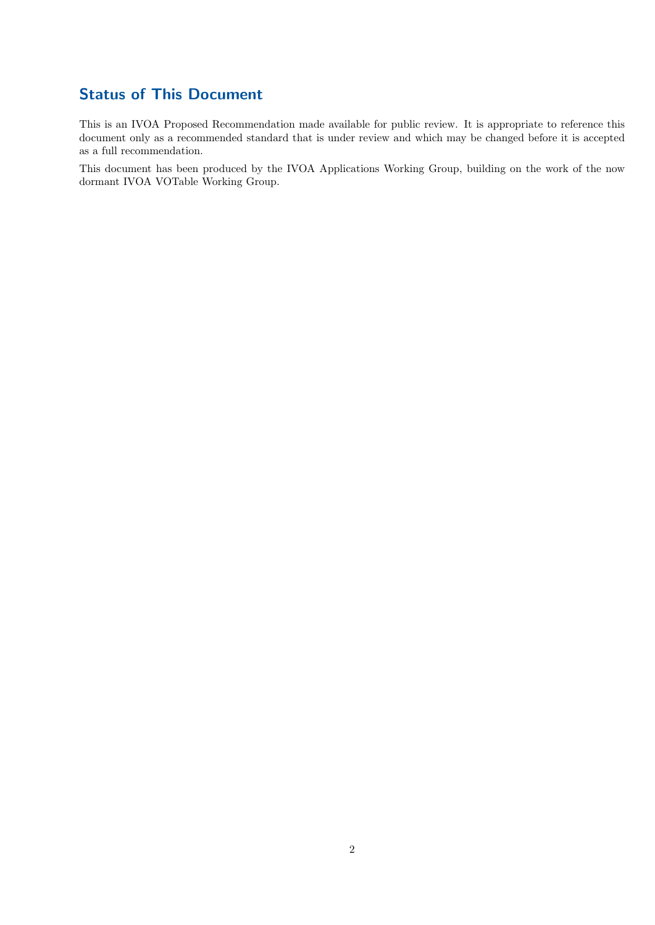# Status of This Document

This is an IVOA Proposed Recommendation made available for public review. It is appropriate to reference this document only as a recommended standard that is under review and which may be changed before it is accepted as a full recommendation.

This document has been produced by the IVOA Applications Working Group, building on the work of the now dormant IVOA VOTable Working Group.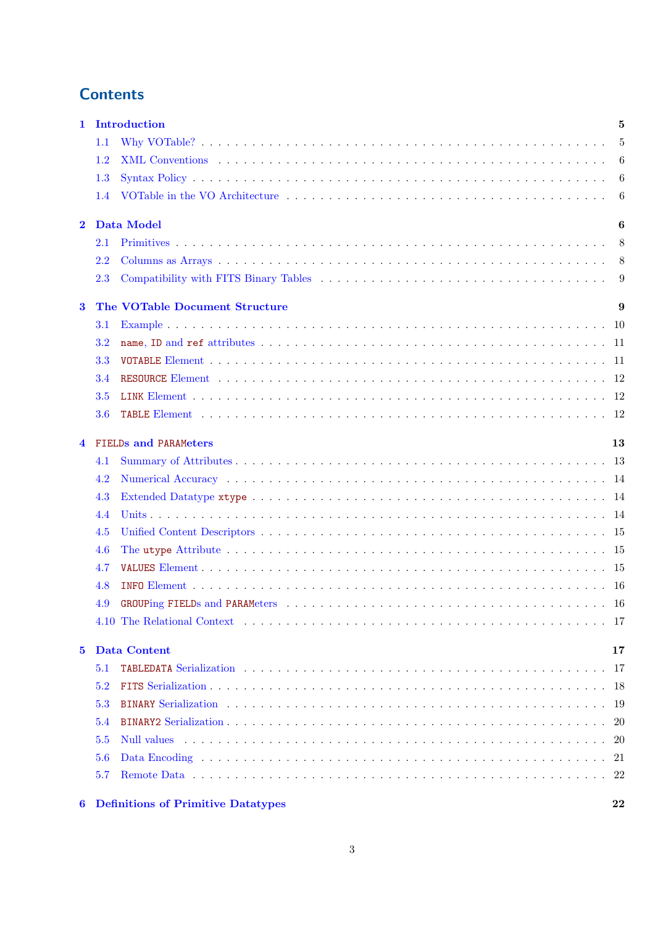# **Contents**

| $\mathbf{1}$   |         | Introduction                              | 5              |
|----------------|---------|-------------------------------------------|----------------|
|                | 1.1     |                                           | $\overline{5}$ |
|                | 1.2     |                                           | 6              |
|                | $1.3\,$ |                                           | 6              |
|                | 1.4     |                                           | 6              |
| $\mathbf{2}$   |         | Data Model                                | 6              |
|                | 2.1     |                                           | 8              |
|                | 2.2     |                                           | 8              |
|                | 2.3     |                                           | -9             |
| $\bf{3}$       |         | The VOTable Document Structure            | 9              |
|                | 3.1     |                                           |                |
|                | 3.2     |                                           |                |
|                | 3.3     |                                           |                |
|                | 3.4     |                                           |                |
|                | 3.5     |                                           |                |
|                | 3.6     |                                           |                |
| $\overline{4}$ |         | <b>FIELDs and PARAMeters</b>              | 13             |
|                | 4.1     |                                           |                |
|                | 4.2     |                                           |                |
|                | 4.3     |                                           |                |
|                | 4.4     |                                           |                |
|                | 4.5     |                                           |                |
|                | 4.6     |                                           |                |
|                | 4.7     |                                           |                |
|                | 4.8     |                                           |                |
|                | 4.9     |                                           |                |
|                |         |                                           | - 17           |
| 5              |         | <b>Data Content</b>                       | 17             |
|                | 5.1     |                                           | -17            |
|                | 5.2     |                                           |                |
|                | 5.3     |                                           | -19            |
|                | 5.4     |                                           | 20             |
|                | 5.5     |                                           | 20             |
|                | 5.6     |                                           | 21             |
|                | 5.7     |                                           | 22             |
| 6              |         | <b>Definitions of Primitive Datatypes</b> | 22             |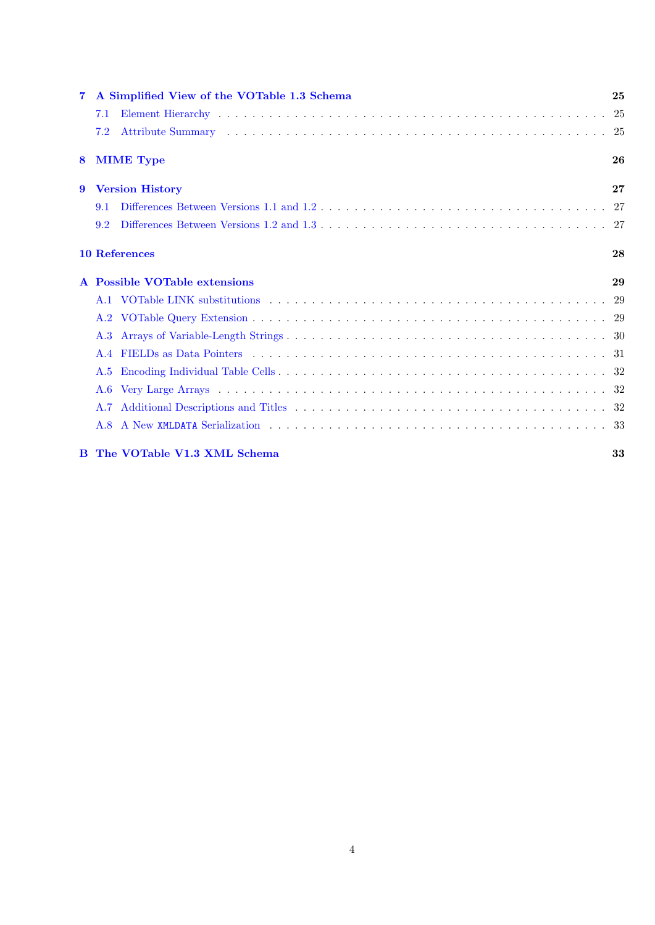|                             | A Simplified View of the VOTable 1.3 Schema | 25 |  |  |  |
|-----------------------------|---------------------------------------------|----|--|--|--|
|                             | 7.1                                         |    |  |  |  |
|                             | 7.2                                         |    |  |  |  |
| 8                           | <b>MIME</b> Type                            | 26 |  |  |  |
| <b>Version History</b><br>9 |                                             |    |  |  |  |
|                             | 9.1                                         |    |  |  |  |
|                             | 9.2                                         |    |  |  |  |
|                             | <b>10 References</b>                        | 28 |  |  |  |
|                             | A Possible VOTable extensions               | 29 |  |  |  |
|                             |                                             |    |  |  |  |
|                             | A.2                                         |    |  |  |  |
|                             | A.3                                         |    |  |  |  |
|                             |                                             |    |  |  |  |
|                             | A.5                                         |    |  |  |  |
|                             | A.6                                         |    |  |  |  |
|                             | A.7                                         |    |  |  |  |
|                             | A.8                                         |    |  |  |  |
|                             | <b>B</b> The VOTable V1.3 XML Schema        | 33 |  |  |  |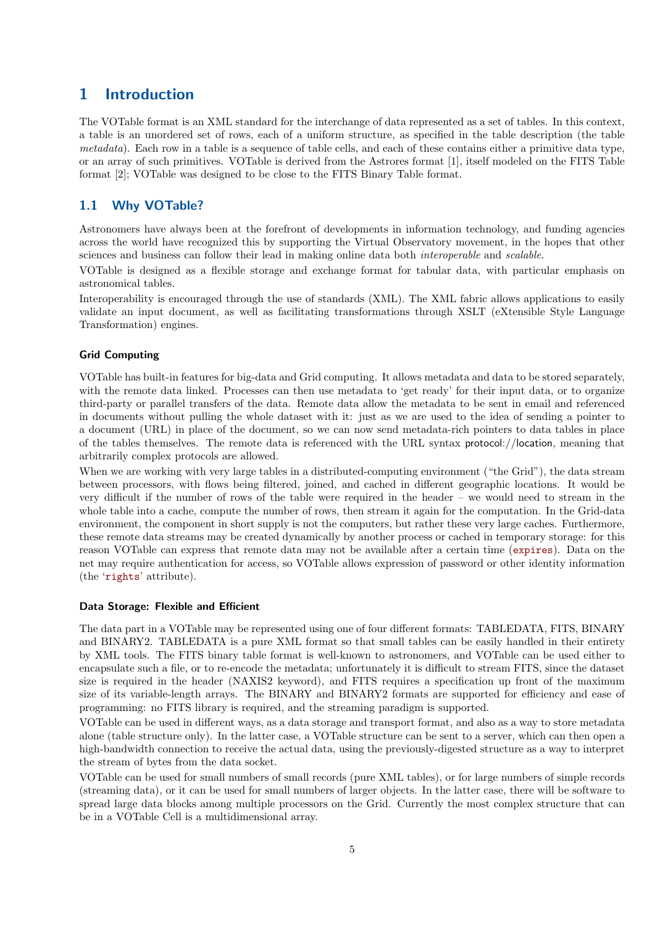# <span id="page-4-0"></span>1 Introduction

The VOTable format is an XML standard for the interchange of data represented as a set of tables. In this context, a table is an unordered set of rows, each of a uniform structure, as specified in the table description (the table metadata). Each row in a table is a sequence of table cells, and each of these contains either a primitive data type, or an array of such primitives. VOTable is derived from the Astrores format [1], itself modeled on the FITS Table format [2]; VOTable was designed to be close to the FITS Binary Table format.

# <span id="page-4-1"></span>1.1 Why VOTable?

Astronomers have always been at the forefront of developments in information technology, and funding agencies across the world have recognized this by supporting the Virtual Observatory movement, in the hopes that other sciences and business can follow their lead in making online data both *interoperable* and *scalable*.

VOTable is designed as a flexible storage and exchange format for tabular data, with particular emphasis on astronomical tables.

Interoperability is encouraged through the use of standards (XML). The XML fabric allows applications to easily validate an input document, as well as facilitating transformations through XSLT (eXtensible Style Language Transformation) engines.

### Grid Computing

VOTable has built-in features for big-data and Grid computing. It allows metadata and data to be stored separately, with the remote data linked. Processes can then use metadata to 'get ready' for their input data, or to organize third-party or parallel transfers of the data. Remote data allow the metadata to be sent in email and referenced in documents without pulling the whole dataset with it: just as we are used to the idea of sending a pointer to a document (URL) in place of the document, so we can now send metadata-rich pointers to data tables in place of the tables themselves. The remote data is referenced with the URL syntax protocol://location, meaning that arbitrarily complex protocols are allowed.

When we are working with very large tables in a distributed-computing environment ("the Grid"), the data stream between processors, with flows being filtered, joined, and cached in different geographic locations. It would be very difficult if the number of rows of the table were required in the header – we would need to stream in the whole table into a cache, compute the number of rows, then stream it again for the computation. In the Grid-data environment, the component in short supply is not the computers, but rather these very large caches. Furthermore, these remote data streams may be created dynamically by another process or cached in temporary storage: for this reason VOTable can express that remote data may not be available after a certain time (expires). Data on the net may require authentication for access, so VOTable allows expression of password or other identity information (the 'rights' attribute).

#### Data Storage: Flexible and Efficient

The data part in a VOTable may be represented using one of four different formats: TABLEDATA, FITS, BINARY and BINARY2. TABLEDATA is a pure XML format so that small tables can be easily handled in their entirety by XML tools. The FITS binary table format is well-known to astronomers, and VOTable can be used either to encapsulate such a file, or to re-encode the metadata; unfortunately it is difficult to stream FITS, since the dataset size is required in the header (NAXIS2 keyword), and FITS requires a specification up front of the maximum size of its variable-length arrays. The BINARY and BINARY2 formats are supported for efficiency and ease of programming: no FITS library is required, and the streaming paradigm is supported.

VOTable can be used in different ways, as a data storage and transport format, and also as a way to store metadata alone (table structure only). In the latter case, a VOTable structure can be sent to a server, which can then open a high-bandwidth connection to receive the actual data, using the previously-digested structure as a way to interpret the stream of bytes from the data socket.

VOTable can be used for small numbers of small records (pure XML tables), or for large numbers of simple records (streaming data), or it can be used for small numbers of larger objects. In the latter case, there will be software to spread large data blocks among multiple processors on the Grid. Currently the most complex structure that can be in a VOTable Cell is a multidimensional array.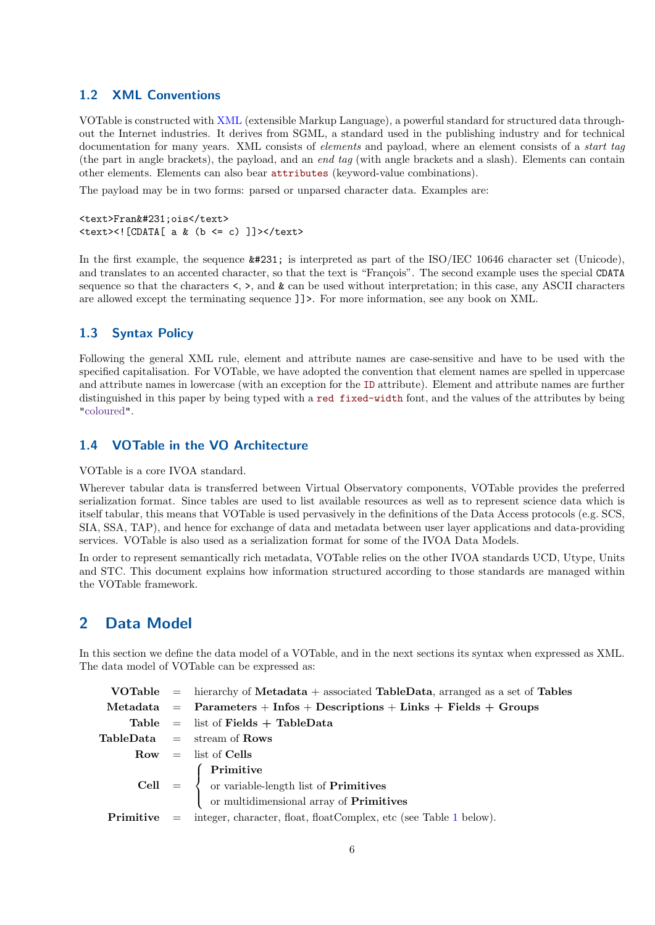# <span id="page-5-0"></span>1.2 XML Conventions

VOTable is constructed with [XML](http://www.w3.org/XML/) (extensible Markup Language), a powerful standard for structured data throughout the Internet industries. It derives from SGML, a standard used in the publishing industry and for technical documentation for many years. XML consists of *elements* and payload, where an element consists of a *start tag* (the part in angle brackets), the payload, and an end tag (with angle brackets and a slash). Elements can contain other elements. Elements can also bear attributes (keyword-value combinations).

The payload may be in two forms: parsed or unparsed character data. Examples are:

```
<text>Fran&#231;ois</text>
\text{Ytext} > \text{Ytext} > \text{Ytext} (CDATA[ a & (b <= c) ]]\text{Ytext} > \text{Ytext} > \text{Ytext}
```
In the first example, the sequence  $\text{\&}\#231$ ; is interpreted as part of the ISO/IEC 10646 character set (Unicode), and translates to an accented character, so that the text is "François". The second example uses the special CDATA sequence so that the characters  $\langle \cdot \rangle$ , and  $\&$  can be used without interpretation; in this case, any ASCII characters are allowed except the terminating sequence ]]>. For more information, see any book on XML.

# <span id="page-5-1"></span>1.3 Syntax Policy

Following the general XML rule, element and attribute names are case-sensitive and have to be used with the specified capitalisation. For VOTable, we have adopted the convention that element names are spelled in uppercase and attribute names in lowercase (with an exception for the ID attribute). Element and attribute names are further distinguished in this paper by being typed with a red fixed-width font, and the values of the attributes by being "coloured".

# <span id="page-5-2"></span>1.4 VOTable in the VO Architecture

#### VOTable is a core IVOA standard.

Wherever tabular data is transferred between Virtual Observatory components, VOTable provides the preferred serialization format. Since tables are used to list available resources as well as to represent science data which is itself tabular, this means that VOTable is used pervasively in the definitions of the Data Access protocols (e.g. SCS, SIA, SSA, TAP), and hence for exchange of data and metadata between user layer applications and data-providing services. VOTable is also used as a serialization format for some of the IVOA Data Models.

In order to represent semantically rich metadata, VOTable relies on the other IVOA standards UCD, Utype, Units and STC. This document explains how information structured according to those standards are managed within the VOTable framework.

# <span id="page-5-3"></span>2 Data Model

In this section we define the data model of a VOTable, and in the next sections its syntax when expressed as XML. The data model of VOTable can be expressed as:

|  | <b>VOTable</b> = hierarchy of <b>Metadata</b> + associated <b>TableData</b> , arranged as a set of <b>Tables</b>                                 |  |
|--|--------------------------------------------------------------------------------------------------------------------------------------------------|--|
|  | Metadata = Parameters + Infos + Descriptions + Links + Fields + Groups                                                                           |  |
|  | Table $=$ list of Fields + TableData                                                                                                             |  |
|  | <b>TableData</b> $=$ stream of <b>Rows</b>                                                                                                       |  |
|  | <b>Row</b> $=$ list of Cells                                                                                                                     |  |
|  | <b>Cell</b> = $\begin{cases}$ <b>Primitive</b><br>or variable-length list of <b>Primitives</b><br>or multidimensional array of <b>Primitives</b> |  |
|  | <b>Primitive</b> = integer, character, float, floatComplex, etc (see Table 1 below).                                                             |  |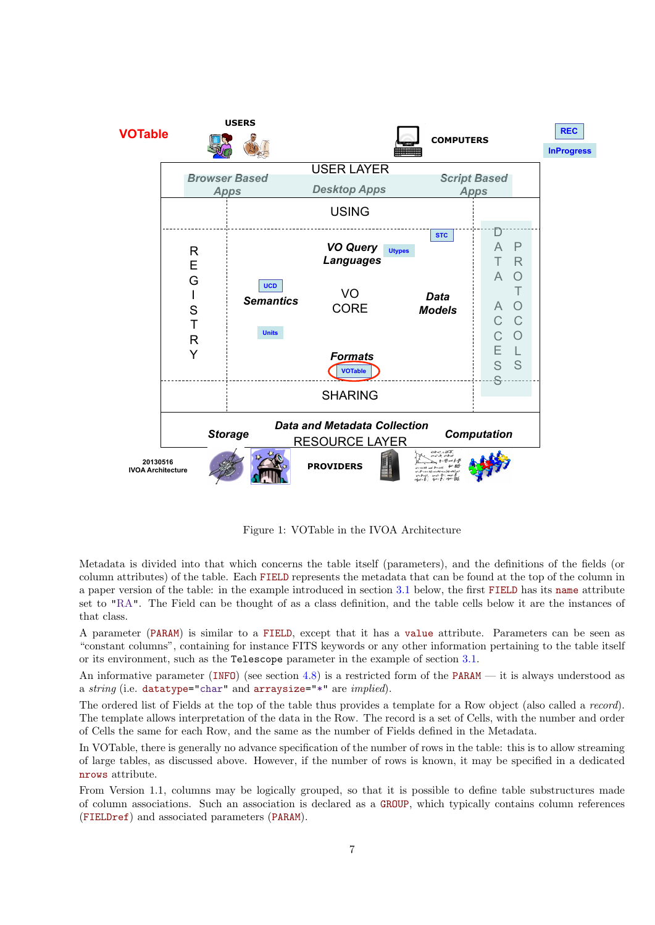

Figure 1: VOTable in the IVOA Architecture

Metadata is divided into that which concerns the table itself (parameters), and the definitions of the fields (or column attributes) of the table. Each FIELD represents the metadata that can be found at the top of the column in a paper version of the table: in the example introduced in section [3.1](#page-9-0) below, the first FIELD has its name attribute set to "RA". The Field can be thought of as a class definition, and the table cells below it are the instances of that class.

A parameter (PARAM) is similar to a FIELD, except that it has a value attribute. Parameters can be seen as "constant columns", containing for instance FITS keywords or any other information pertaining to the table itself or its environment, such as the Telescope parameter in the example of section [3.1.](#page-9-0)

An informative parameter (INFO) (see section [4.8\)](#page-15-0) is a restricted form of the PARAM — it is always understood as a string (i.e. datatype="char" and arraysize="\*" are *implied*).

The ordered list of Fields at the top of the table thus provides a template for a Row object (also called a record). The template allows interpretation of the data in the Row. The record is a set of Cells, with the number and order of Cells the same for each Row, and the same as the number of Fields defined in the Metadata.

In VOTable, there is generally no advance specification of the number of rows in the table: this is to allow streaming of large tables, as discussed above. However, if the number of rows is known, it may be specified in a dedicated nrows attribute.

From Version 1.1, columns may be logically grouped, so that it is possible to define table substructures made of column associations. Such an association is declared as a GROUP, which typically contains column references (FIELDref) and associated parameters (PARAM).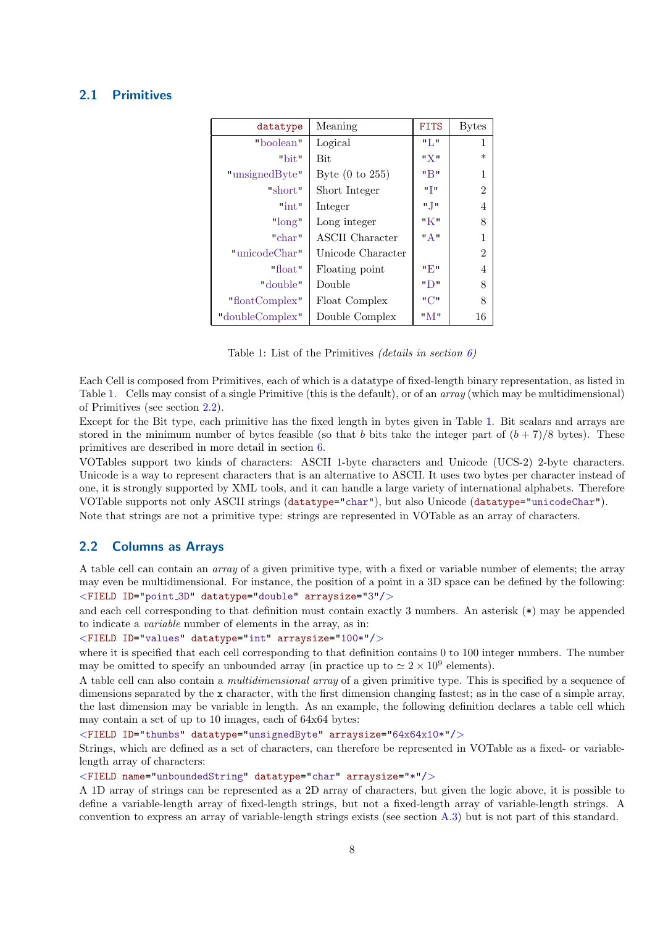# <span id="page-7-0"></span>2.1 Primitives

| datatype        | Meaning                    | <b>FITS</b>        | <b>Bytes</b>   |
|-----------------|----------------------------|--------------------|----------------|
| "boolean"       | Logical                    | "T"                | 1              |
| " $bit"$        | <b>Bit</b>                 | "X"                | $\ast$         |
| "unsignedByte"  | Byte $(0 \text{ to } 255)$ | "B"                | 1              |
| "short"         | Short Integer              | "T"                | $\overline{2}$ |
| "int"           | Integer                    | $^{\mathrm{H}}$ TH | $\overline{4}$ |
| "long"          | Long integer               | "K"                | 8              |
| "char"          | <b>ASCII</b> Character     | "A"                | 1              |
| "unicodeChar"   | Unicode Character          |                    | $\overline{2}$ |
| "float"         | Floating point             | "E"                | 4              |
| "double"        | Double                     | "D"                | 8              |
| "floatComplex"  | Float Complex              | "C"                | 8              |
| "doubleComplex" | Double Complex             | "M"                | 16             |

<span id="page-7-2"></span>

| Table 1: List of the Primitives <i>(details in section 6)</i> |  |
|---------------------------------------------------------------|--|
|                                                               |  |

Each Cell is composed from Primitives, each of which is a datatype of fixed-length binary representation, as listed in Table [1.](#page-7-2) Cells may consist of a single Primitive (this is the default), or of an *array* (which may be multidimensional) of Primitives (see section [2.2\)](#page-7-1).

Except for the Bit type, each primitive has the fixed length in bytes given in Table [1.](#page-7-2) Bit scalars and arrays are stored in the minimum number of bytes feasible (so that b bits take the integer part of  $(b+7)/8$  bytes). These primitives are described in more detail in section [6.](#page-21-1)

VOTables support two kinds of characters: ASCII 1-byte characters and Unicode (UCS-2) 2-byte characters. Unicode is a way to represent characters that is an alternative to ASCII. It uses two bytes per character instead of one, it is strongly supported by XML tools, and it can handle a large variety of international alphabets. Therefore VOTable supports not only ASCII strings (datatype="char"), but also Unicode (datatype="unicodeChar"). Note that strings are not a primitive type: strings are represented in VOTable as an array of characters.

# <span id="page-7-1"></span>2.2 Columns as Arrays

A table cell can contain an array of a given primitive type, with a fixed or variable number of elements; the array may even be multidimensional. For instance, the position of a point in a 3D space can be defined by the following: <FIELD ID="point 3D" datatype="double" arraysize="3"/>

and each cell corresponding to that definition must contain exactly 3 numbers. An asterisk (\*) may be appended to indicate a variable number of elements in the array, as in:

<FIELD ID="values" datatype="int" arraysize="100\*"/>

where it is specified that each cell corresponding to that definition contains 0 to 100 integer numbers. The number may be omitted to specify an unbounded array (in practice up to  $\simeq 2 \times 10^9$  elements).

A table cell can also contain a *multidimensional array* of a given primitive type. This is specified by a sequence of dimensions separated by the x character, with the first dimension changing fastest; as in the case of a simple array, the last dimension may be variable in length. As an example, the following definition declares a table cell which may contain a set of up to 10 images, each of 64x64 bytes:

<FIELD ID="thumbs" datatype="unsignedByte" arraysize="64x64x10\*"/>

Strings, which are defined as a set of characters, can therefore be represented in VOTable as a fixed- or variablelength array of characters:

 $\leq$ FIELD name="unboundedString" datatype="char" arraysize="\*"/>

A 1D array of strings can be represented as a 2D array of characters, but given the logic above, it is possible to define a variable-length array of fixed-length strings, but not a fixed-length array of variable-length strings. A convention to express an array of variable-length strings exists (see section [A.3\)](#page-29-0) but is not part of this standard.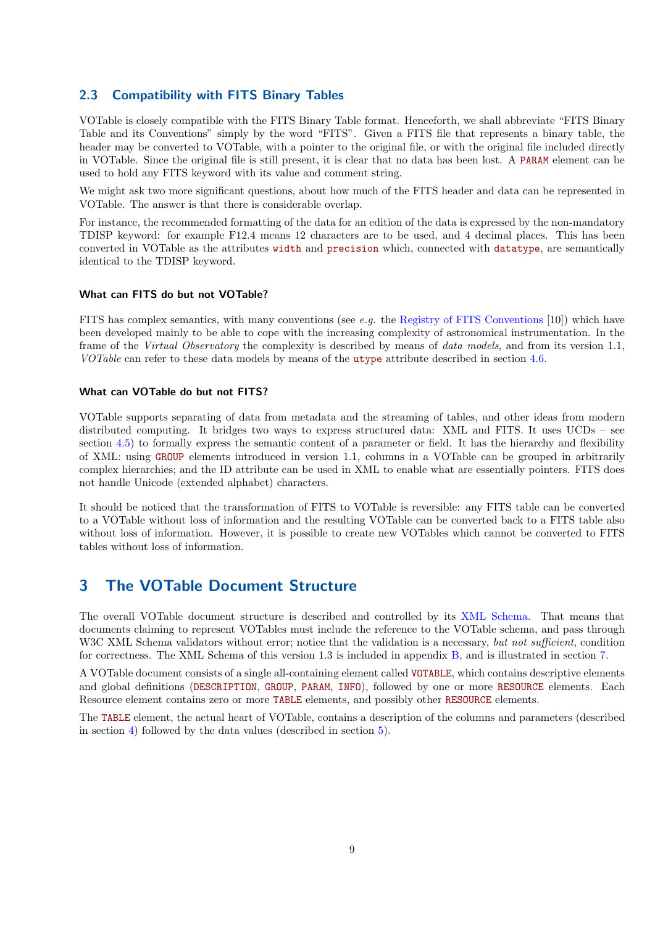### <span id="page-8-0"></span>2.3 Compatibility with FITS Binary Tables

VOTable is closely compatible with the FITS Binary Table format. Henceforth, we shall abbreviate "FITS Binary Table and its Conventions" simply by the word "FITS". Given a FITS file that represents a binary table, the header may be converted to VOTable, with a pointer to the original file, or with the original file included directly in VOTable. Since the original file is still present, it is clear that no data has been lost. A PARAM element can be used to hold any FITS keyword with its value and comment string.

We might ask two more significant questions, about how much of the FITS header and data can be represented in VOTable. The answer is that there is considerable overlap.

For instance, the recommended formatting of the data for an edition of the data is expressed by the non-mandatory TDISP keyword: for example F12.4 means 12 characters are to be used, and 4 decimal places. This has been converted in VOTable as the attributes width and precision which, connected with datatype, are semantically identical to the TDISP keyword.

#### What can FITS do but not VOTable?

FITS has complex semantics, with many conventions (see e.g. the [Registry of FITS Conventions](http://fits.gsfc.nasa.gov/fits_registry.html) [10]) which have been developed mainly to be able to cope with the increasing complexity of astronomical instrumentation. In the frame of the Virtual Observatory the complexity is described by means of data models, and from its version 1.1, VOTable can refer to these data models by means of the utype attribute described in section [4.6.](#page-14-1)

#### What can VOTable do but not FITS?

VOTable supports separating of data from metadata and the streaming of tables, and other ideas from modern distributed computing. It bridges two ways to express structured data: XML and FITS. It uses UCDs – see section [4.5\)](#page-14-0) to formally express the semantic content of a parameter or field. It has the hierarchy and flexibility of XML: using GROUP elements introduced in version 1.1, columns in a VOTable can be grouped in arbitrarily complex hierarchies; and the ID attribute can be used in XML to enable what are essentially pointers. FITS does not handle Unicode (extended alphabet) characters.

It should be noticed that the transformation of FITS to VOTable is reversible: any FITS table can be converted to a VOTable without loss of information and the resulting VOTable can be converted back to a FITS table also without loss of information. However, it is possible to create new VOTables which cannot be converted to FITS tables without loss of information.

# <span id="page-8-1"></span>3 The VOTable Document Structure

The overall VOTable document structure is described and controlled by its [XML Schema.](http://www.ivoa.net/xml/VOTable/v1.3) That means that documents claiming to represent VOTables must include the reference to the VOTable schema, and pass through W3C XML Schema validators without error; notice that the validation is a necessary, but not sufficient, condition for correctness. The XML Schema of this version 1.3 is included in appendix [B,](#page-32-1) and is illustrated in section [7.](#page-24-0)

A VOTable document consists of a single all-containing element called VOTABLE, which contains descriptive elements and global definitions (DESCRIPTION, GROUP, PARAM, INFO), followed by one or more RESOURCE elements. Each Resource element contains zero or more TABLE elements, and possibly other RESOURCE elements.

The TABLE element, the actual heart of VOTable, contains a description of the columns and parameters (described in section [4\)](#page-12-0) followed by the data values (described in section [5\)](#page-16-1).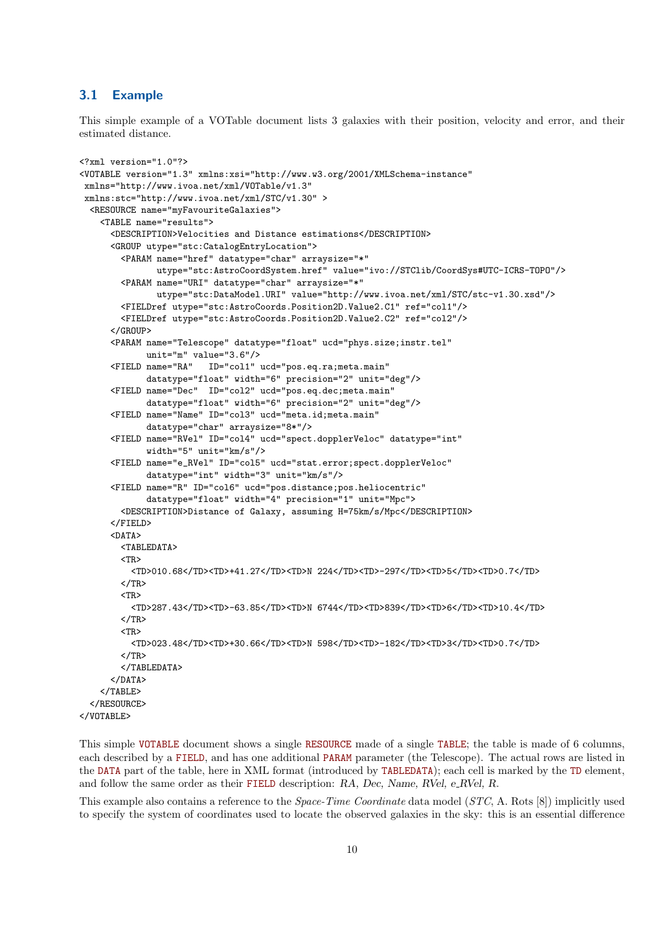### <span id="page-9-0"></span>3.1 Example

This simple example of a VOTable document lists 3 galaxies with their position, velocity and error, and their estimated distance.

```
<?xml version="1.0"?>
<VOTABLE version="1.3" xmlns:xsi="http://www.w3.org/2001/XMLSchema-instance"
xmlns="http://www.ivoa.net/xml/VOTable/v1.3"
xmlns:stc="http://www.ivoa.net/xml/STC/v1.30" >
  <RESOURCE name="myFavouriteGalaxies">
    <TABLE name="results">
      <DESCRIPTION>Velocities and Distance estimations</DESCRIPTION>
      <GROUP utype="stc:CatalogEntryLocation">
        <PARAM name="href" datatype="char" arraysize="*"
               utype="stc:AstroCoordSystem.href" value="ivo://STClib/CoordSys#UTC-ICRS-TOPO"/>
        <PARAM name="URI" datatype="char" arraysize="*"
               utype="stc:DataModel.URI" value="http://www.ivoa.net/xml/STC/stc-v1.30.xsd"/>
        <FIELDref utype="stc:AstroCoords.Position2D.Value2.C1" ref="col1"/>
        <FIELDref utype="stc:AstroCoords.Position2D.Value2.C2" ref="col2"/>
      </GROUP>
      <PARAM name="Telescope" datatype="float" ucd="phys.size;instr.tel"
            unit="m" value="3.6"/>
      <FIELD name="RA" ID="col1" ucd="pos.eq.ra;meta.main"
            datatype="float" width="6" precision="2" unit="deg"/>
      <FIELD name="Dec" ID="col2" ucd="pos.eq.dec;meta.main"
             datatype="float" width="6" precision="2" unit="deg"/>
      <FIELD name="Name" ID="col3" ucd="meta.id;meta.main"
             datatype="char" arraysize="8*"/>
      <FIELD name="RVel" ID="col4" ucd="spect.dopplerVeloc" datatype="int"
             width="5" unit="km/s"/>
      <FIELD name="e_RVel" ID="col5" ucd="stat.error;spect.dopplerVeloc"
             datatype="int" width="3" unit="km/s"/>
      <FIELD name="R" ID="col6" ucd="pos.distance;pos.heliocentric"
             datatype="float" width="4" precision="1" unit="Mpc">
        <DESCRIPTION>Distance of Galaxy, assuming H=75km/s/Mpc</DESCRIPTION>
      </FIELD>
      <DATA><TABLEDATA>
        <TR>
          <TD>010.68</TD><TD>+41.27</TD><TD>N 224</TD><TD>-297</TD><TD>5</TD><TD>0.7</TD>
        </TR><TR>
          <TD>287.43</TD><TD>-63.85</TD><TD>N 6744</TD><TD>839</TD><TD>6</TD><TD>10.4</TD>
        </TR><TR>
          <TD>023.48</TD><TD>+30.66</TD><TD>N 598</TD><TD>-182</TD><TD>3</TD><TD>0.7</TD>
        </TR></TABLEDATA>
      </DATA>
    </TABLE>
  </RESOURCE>
</VOTABLE>
```
This simple VOTABLE document shows a single RESOURCE made of a single TABLE; the table is made of 6 columns, each described by a FIELD, and has one additional PARAM parameter (the Telescope). The actual rows are listed in the DATA part of the table, here in XML format (introduced by TABLEDATA); each cell is marked by the TD element, and follow the same order as their FIELD description: RA, Dec, Name, RVel, e<sub>-RVel</sub>, R.

This example also contains a reference to the Space-Time Coordinate data model (STC, A. Rots [8]) implicitly used to specify the system of coordinates used to locate the observed galaxies in the sky: this is an essential difference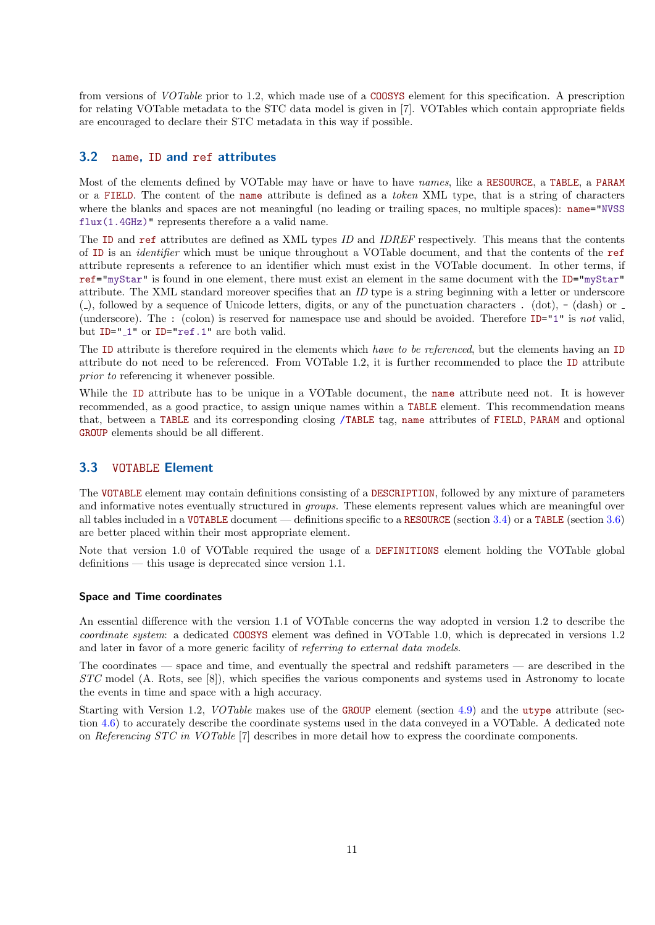from versions of VOTable prior to 1.2, which made use of a COOSYS element for this specification. A prescription for relating VOTable metadata to the STC data model is given in [7]. VOTables which contain appropriate fields are encouraged to declare their STC metadata in this way if possible.

#### <span id="page-10-0"></span>3.2 name, ID and ref attributes

Most of the elements defined by VOTable may have or have to have names, like a RESOURCE, a TABLE, a PARAM or a FIELD. The content of the name attribute is defined as a token XML type, that is a string of characters where the blanks and spaces are not meaningful (no leading or trailing spaces, no multiple spaces): name="NVSS flux(1.4GHz)" represents therefore a a valid name.

The ID and ref attributes are defined as XML types ID and IDREF respectively. This means that the contents of ID is an identifier which must be unique throughout a VOTable document, and that the contents of the ref attribute represents a reference to an identifier which must exist in the VOTable document. In other terms, if ref="myStar" is found in one element, there must exist an element in the same document with the ID="myStar" attribute. The XML standard moreover specifies that an ID type is a string beginning with a letter or underscore  $($ ), followed by a sequence of Unicode letters, digits, or any of the punctuation characters . (dot),  $-$  (dash) or  $-$ (underscore). The : (colon) is reserved for namespace use and should be avoided. Therefore ID="1" is not valid, but  $\texttt{ID}{=}\texttt{"-1"}$  or  $\texttt{ID}{=}\texttt{"ref.1"}$  are both valid.

The ID attribute is therefore required in the elements which have to be referenced, but the elements having an ID attribute do not need to be referenced. From VOTable 1.2, it is further recommended to place the ID attribute prior to referencing it whenever possible.

While the ID attribute has to be unique in a VOTable document, the name attribute need not. It is however recommended, as a good practice, to assign unique names within a TABLE element. This recommendation means that, between a TABLE and its corresponding closing /TABLE tag, name attributes of FIELD, PARAM and optional GROUP elements should be all different.

# <span id="page-10-1"></span>3.3 VOTABLE Element

The VOTABLE element may contain definitions consisting of a DESCRIPTION, followed by any mixture of parameters and informative notes eventually structured in groups. These elements represent values which are meaningful over all tables included in a VOTABLE document — definitions specific to a RESOURCE (section [3.4\)](#page-11-0) or a TABLE (section [3.6\)](#page-11-2) are better placed within their most appropriate element.

Note that version 1.0 of VOTable required the usage of a DEFINITIONS element holding the VOTable global definitions — this usage is deprecated since version 1.1.

#### Space and Time coordinates

An essential difference with the version 1.1 of VOTable concerns the way adopted in version 1.2 to describe the coordinate system: a dedicated COOSYS element was defined in VOTable 1.0, which is deprecated in versions 1.2 and later in favor of a more generic facility of referring to external data models.

The coordinates — space and time, and eventually the spectral and redshift parameters — are described in the STC model (A. Rots, see [8]), which specifies the various components and systems used in Astronomy to locate the events in time and space with a high accuracy.

Starting with Version 1.2, VOTable makes use of the GROUP element (section [4.9\)](#page-15-1) and the utype attribute (section [4.6\)](#page-14-1) to accurately describe the coordinate systems used in the data conveyed in a VOTable. A dedicated note on Referencing STC in VOTable [7] describes in more detail how to express the coordinate components.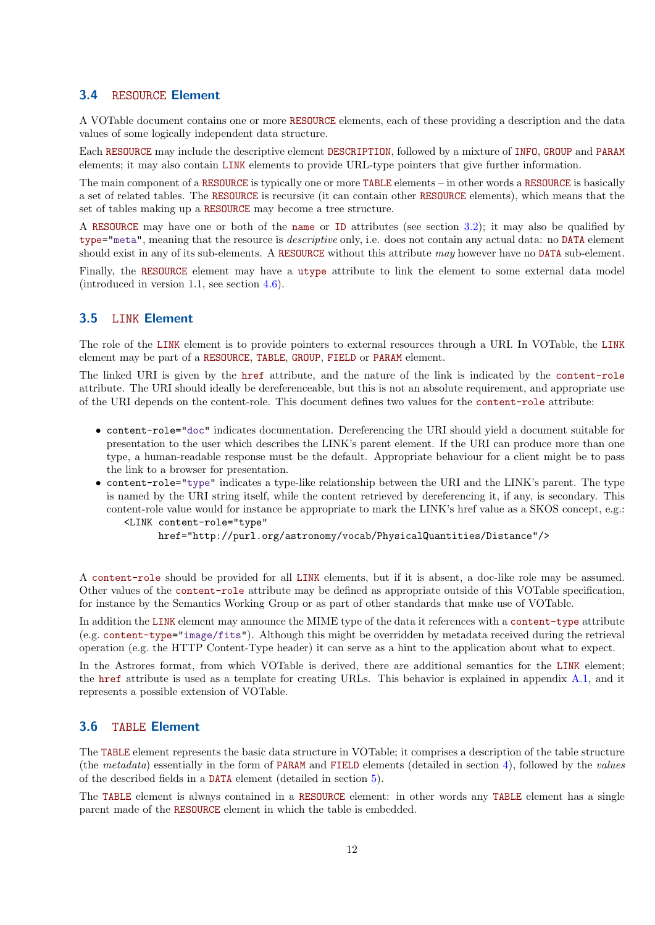#### <span id="page-11-0"></span>3.4 RESOURCE Element

A VOTable document contains one or more RESOURCE elements, each of these providing a description and the data values of some logically independent data structure.

Each RESOURCE may include the descriptive element DESCRIPTION, followed by a mixture of INFO, GROUP and PARAM elements; it may also contain LINK elements to provide URL-type pointers that give further information.

The main component of a RESOURCE is typically one or more TABLE elements – in other words a RESOURCE is basically a set of related tables. The RESOURCE is recursive (it can contain other RESOURCE elements), which means that the set of tables making up a RESOURCE may become a tree structure.

A RESOURCE may have one or both of the name or ID attributes (see section [3.2\)](#page-10-0); it may also be qualified by type="meta", meaning that the resource is descriptive only, i.e. does not contain any actual data: no DATA element should exist in any of its sub-elements. A RESOURCE without this attribute may however have no DATA sub-element.

Finally, the RESOURCE element may have a utype attribute to link the element to some external data model (introduced in version 1.1, see section [4.6\)](#page-14-1).

## <span id="page-11-1"></span>3.5 LINK Element

The role of the LINK element is to provide pointers to external resources through a URI. In VOTable, the LINK element may be part of a RESOURCE, TABLE, GROUP, FIELD or PARAM element.

The linked URI is given by the href attribute, and the nature of the link is indicated by the content-role attribute. The URI should ideally be dereferenceable, but this is not an absolute requirement, and appropriate use of the URI depends on the content-role. This document defines two values for the content-role attribute:

- content-role="doc" indicates documentation. Dereferencing the URI should yield a document suitable for presentation to the user which describes the LINK's parent element. If the URI can produce more than one type, a human-readable response must be the default. Appropriate behaviour for a client might be to pass the link to a browser for presentation.
- content-role="type" indicates a type-like relationship between the URI and the LINK's parent. The type is named by the URI string itself, while the content retrieved by dereferencing it, if any, is secondary. This content-role value would for instance be appropriate to mark the LINK's href value as a SKOS concept, e.g.: <LINK content-role="type"

href="http://purl.org/astronomy/vocab/PhysicalQuantities/Distance"/>

A content-role should be provided for all LINK elements, but if it is absent, a doc-like role may be assumed. Other values of the content-role attribute may be defined as appropriate outside of this VOTable specification, for instance by the Semantics Working Group or as part of other standards that make use of VOTable.

In addition the LINK element may announce the MIME type of the data it references with a content-type attribute (e.g. content-type="image/fits"). Although this might be overridden by metadata received during the retrieval operation (e.g. the HTTP Content-Type header) it can serve as a hint to the application about what to expect.

In the Astrores format, from which VOTable is derived, there are additional semantics for the LINK element; the href attribute is used as a template for creating URLs. This behavior is explained in appendix [A.1,](#page-28-1) and it represents a possible extension of VOTable.

# <span id="page-11-2"></span>3.6 TABLE Element

The TABLE element represents the basic data structure in VOTable; it comprises a description of the table structure (the metadata) essentially in the form of PARAM and FIELD elements (detailed in section [4\)](#page-12-0), followed by the values of the described fields in a DATA element (detailed in section [5\)](#page-16-1).

The TABLE element is always contained in a RESOURCE element: in other words any TABLE element has a single parent made of the RESOURCE element in which the table is embedded.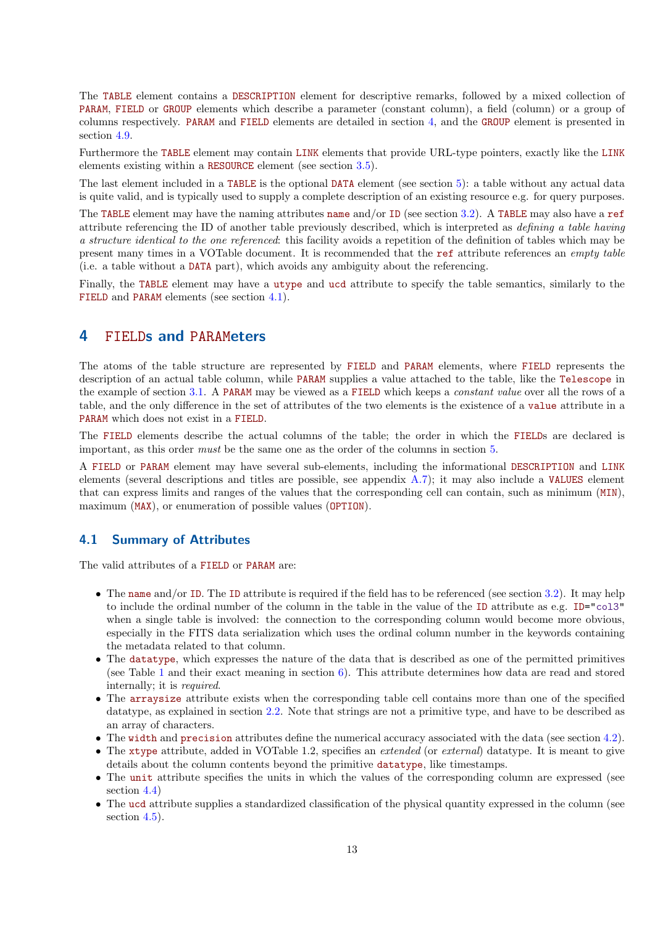The TABLE element contains a DESCRIPTION element for descriptive remarks, followed by a mixed collection of PARAM, FIELD or GROUP elements which describe a parameter (constant column), a field (column) or a group of columns respectively. PARAM and FIELD elements are detailed in section [4,](#page-12-0) and the GROUP element is presented in section [4.9.](#page-15-1)

Furthermore the TABLE element may contain LINK elements that provide URL-type pointers, exactly like the LINK elements existing within a RESOURCE element (see section [3.5\)](#page-11-1).

The last element included in a TABLE is the optional DATA element (see section [5\)](#page-16-1): a table without any actual data is quite valid, and is typically used to supply a complete description of an existing resource e.g. for query purposes.

The TABLE element may have the naming attributes name and/or ID (see section [3.2\)](#page-10-0). A TABLE may also have a ref attribute referencing the ID of another table previously described, which is interpreted as defining a table having a structure identical to the one referenced: this facility avoids a repetition of the definition of tables which may be present many times in a VOTable document. It is recommended that the ref attribute references an empty table (i.e. a table without a DATA part), which avoids any ambiguity about the referencing.

Finally, the TABLE element may have a utype and ucd attribute to specify the table semantics, similarly to the FIELD and PARAM elements (see section [4.1\)](#page-12-1).

# <span id="page-12-0"></span>4 FIELDs and PARAMeters

The atoms of the table structure are represented by FIELD and PARAM elements, where FIELD represents the description of an actual table column, while PARAM supplies a value attached to the table, like the Telescope in the example of section [3.1.](#page-9-0) A PARAM may be viewed as a FIELD which keeps a constant value over all the rows of a table, and the only difference in the set of attributes of the two elements is the existence of a value attribute in a PARAM which does not exist in a FIELD.

The FIELD elements describe the actual columns of the table; the order in which the FIELDs are declared is important, as this order must be the same one as the order of the columns in section [5.](#page-16-1)

A FIELD or PARAM element may have several sub-elements, including the informational DESCRIPTION and LINK elements (several descriptions and titles are possible, see appendix [A.7\)](#page-31-2); it may also include a VALUES element that can express limits and ranges of the values that the corresponding cell can contain, such as minimum (MIN), maximum (MAX), or enumeration of possible values (OPTION).

#### <span id="page-12-1"></span>4.1 Summary of Attributes

The valid attributes of a FIELD or PARAM are:

- The name and/or ID. The ID attribute is required if the field has to be referenced (see section  $3.2$ ). It may help to include the ordinal number of the column in the table in the value of the ID attribute as e.g. ID="col3" when a single table is involved: the connection to the corresponding column would become more obvious, especially in the FITS data serialization which uses the ordinal column number in the keywords containing the metadata related to that column.
- The datatype, which expresses the nature of the data that is described as one of the permitted primitives (see Table [1](#page-7-2) and their exact meaning in section  $6$ ). This attribute determines how data are read and stored internally; it is required.
- The arraysize attribute exists when the corresponding table cell contains more than one of the specified datatype, as explained in section [2.2.](#page-7-1) Note that strings are not a primitive type, and have to be described as an array of characters.
- The width and precision attributes define the numerical accuracy associated with the data (see section [4.2\)](#page-13-0).
- The xtype attribute, added in VOTable 1.2, specifies an *extended* (or *external*) datatype. It is meant to give details about the column contents beyond the primitive datatype, like timestamps.
- The unit attribute specifies the units in which the values of the corresponding column are expressed (see section [4.4\)](#page-13-2)
- The ucd attribute supplies a standardized classification of the physical quantity expressed in the column (see section [4.5\)](#page-14-0).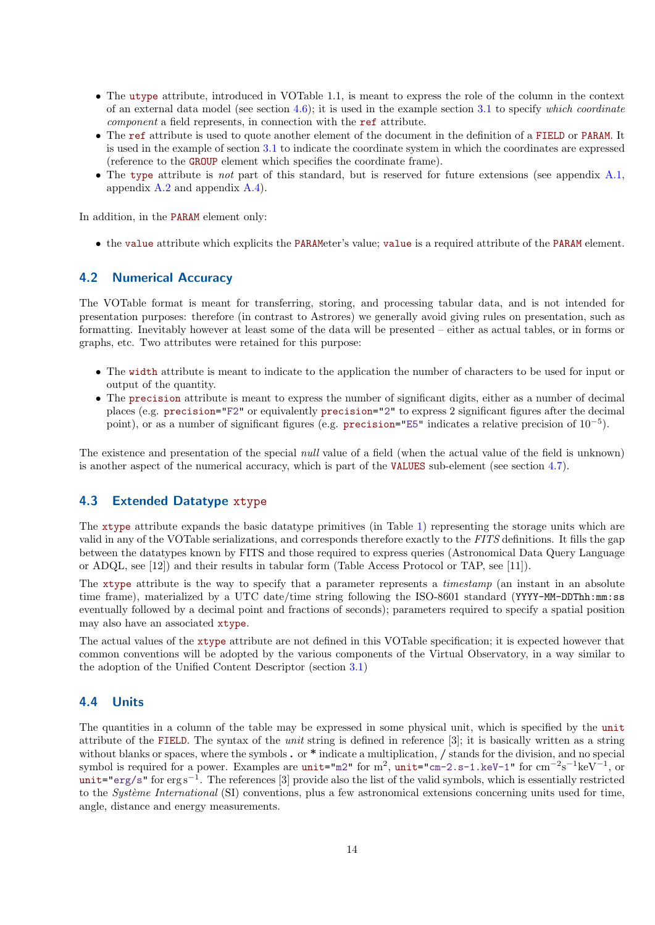- The utype attribute, introduced in VOTable 1.1, is meant to express the role of the column in the context of an external data model (see section [4.6\)](#page-14-1); it is used in the example section [3.1](#page-9-0) to specify which coordinate component a field represents, in connection with the ref attribute.
- The ref attribute is used to quote another element of the document in the definition of a FIELD or PARAM. It is used in the example of section [3.1](#page-9-0) to indicate the coordinate system in which the coordinates are expressed (reference to the GROUP element which specifies the coordinate frame).
- The type attribute is not part of this standard, but is reserved for future extensions (see appendix [A.1,](#page-28-1) appendix [A.2](#page-28-2) and appendix [A.4\)](#page-30-0).

In addition, in the PARAM element only:

• the value attribute which explicits the PARAMeter's value; value is a required attribute of the PARAM element.

# <span id="page-13-0"></span>4.2 Numerical Accuracy

The VOTable format is meant for transferring, storing, and processing tabular data, and is not intended for presentation purposes: therefore (in contrast to Astrores) we generally avoid giving rules on presentation, such as formatting. Inevitably however at least some of the data will be presented – either as actual tables, or in forms or graphs, etc. Two attributes were retained for this purpose:

- The width attribute is meant to indicate to the application the number of characters to be used for input or output of the quantity.
- The precision attribute is meant to express the number of significant digits, either as a number of decimal places (e.g. precision="F2" or equivalently precision="2" to express 2 significant figures after the decimal point), or as a number of significant figures (e.g. precision="E5" indicates a relative precision of 10<sup>-5</sup>).

The existence and presentation of the special null value of a field (when the actual value of the field is unknown) is another aspect of the numerical accuracy, which is part of the VALUES sub-element (see section [4.7\)](#page-14-2).

# <span id="page-13-1"></span>4.3 Extended Datatype xtype

The xtype attribute expands the basic datatype primitives (in Table [1\)](#page-7-2) representing the storage units which are valid in any of the VOTable serializations, and corresponds therefore exactly to the FITS definitions. It fills the gap between the datatypes known by FITS and those required to express queries (Astronomical Data Query Language or ADQL, see [12]) and their results in tabular form (Table Access Protocol or TAP, see [11]).

The xtype attribute is the way to specify that a parameter represents a *timestamp* (an instant in an absolute time frame), materialized by a UTC date/time string following the ISO-8601 standard (YYYY-MM-DDThh:mm:ss eventually followed by a decimal point and fractions of seconds); parameters required to specify a spatial position may also have an associated xtype.

The actual values of the xtype attribute are not defined in this VOTable specification; it is expected however that common conventions will be adopted by the various components of the Virtual Observatory, in a way similar to the adoption of the Unified Content Descriptor (section [3.1\)](#page-9-0)

### <span id="page-13-2"></span>4.4 Units

The quantities in a column of the table may be expressed in some physical unit, which is specified by the unit attribute of the FIELD. The syntax of the unit string is defined in reference [3]; it is basically written as a string without blanks or spaces, where the symbols . or \* indicate a multiplication, / stands for the division, and no special symbol is required for a power. Examples are  $unit="m2"$  for  $m^2$ ,  $unit="cm=2.s-1.keV-1"$  for  $cm^{-2}s^{-1}keV^{-1}$ , or unit="erg/s" for erg s<sup>-1</sup>. The references [3] provide also the list of the valid symbols, which is essentially restricted to the Système International (SI) conventions, plus a few astronomical extensions concerning units used for time, angle, distance and energy measurements.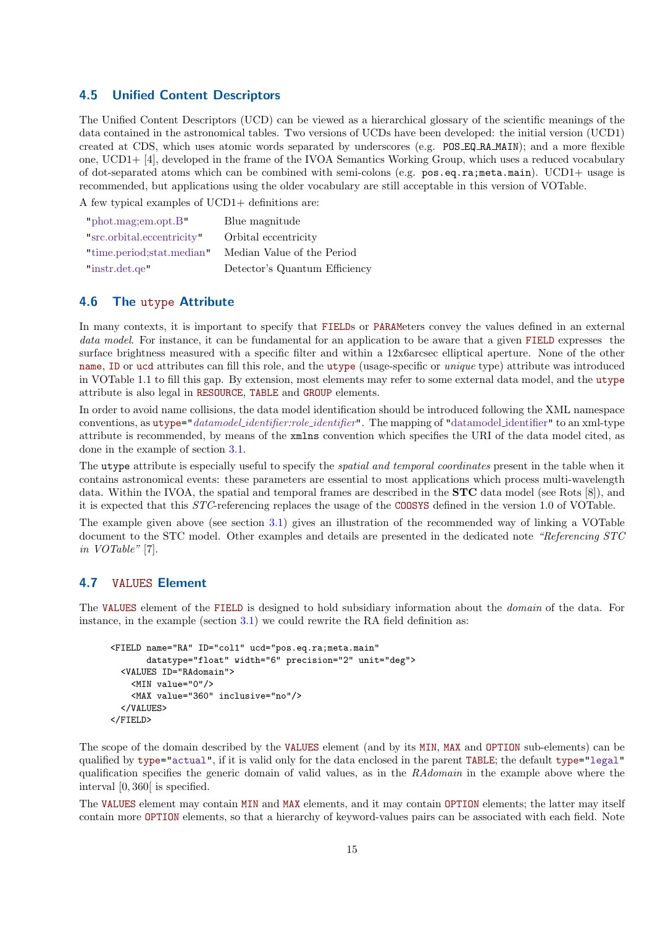#### <span id="page-14-0"></span>4.5 Unified Content Descriptors

The Unified Content Descriptors (UCD) can be viewed as a hierarchical glossary of the scientific meanings of the data contained in the astronomical tables. Two versions of UCDs have been developed: the initial version (UCD1) created at CDS, which uses atomic words separated by underscores (e.g. POS EQ RA MAIN); and a more flexible one, UCD1+ [4], developed in the frame of the IVOA Semantics Working Group, which uses a reduced vocabulary of dot-separated atoms which can be combined with semi-colons (e.g. pos.eq.ra;meta.main). UCD1+ usage is recommended, but applications using the older vocabulary are still acceptable in this version of VOTable.

A few typical examples of UCD1+ definitions are:

| " $phot.mag; em. opt.B"$   | Blue magnitude                |
|----------------------------|-------------------------------|
| "src.orbital.eccentricity" | Orbital eccentricity          |
| "time.period;stat.median"  | Median Value of the Period    |
| "instr.det.ge"             | Detector's Quantum Efficiency |

#### <span id="page-14-1"></span>4.6 The utype Attribute

In many contexts, it is important to specify that FIELDs or PARAMeters convey the values defined in an external data model. For instance, it can be fundamental for an application to be aware that a given FIELD expresses the surface brightness measured with a specific filter and within a 12x6arcsec elliptical aperture. None of the other name, ID or ucd attributes can fill this role, and the utype (usage-specific or *unique* type) attribute was introduced in VOTable 1.1 to fill this gap. By extension, most elements may refer to some external data model, and the utype attribute is also legal in RESOURCE, TABLE and GROUP elements.

In order to avoid name collisions, the data model identification should be introduced following the XML namespace conventions, as utype="datamodel\_identifier:role\_identifier". The mapping of "datamodel\_identifier" to an xml-type attribute is recommended, by means of the xmlns convention which specifies the URI of the data model cited, as done in the example of section [3.1.](#page-9-0)

The utype attribute is especially useful to specify the *spatial and temporal coordinates* present in the table when it contains astronomical events: these parameters are essential to most applications which process multi-wavelength data. Within the IVOA, the spatial and temporal frames are described in the STC data model (see Rots [8]), and it is expected that this STC-referencing replaces the usage of the COOSYS defined in the version 1.0 of VOTable.

The example given above (see section [3.1\)](#page-9-0) gives an illustration of the recommended way of linking a VOTable document to the STC model. Other examples and details are presented in the dedicated note "Referencing STC in VOTable" [7].

## <span id="page-14-2"></span>4.7 VALUES Element

The VALUES element of the FIELD is designed to hold subsidiary information about the domain of the data. For instance, in the example (section  $3.1$ ) we could rewrite the RA field definition as:

```
<FIELD name="RA" ID="col1" ucd="pos.eq.ra;meta.main"
       datatype="float" width="6" precision="2" unit="deg">
  <VALUES ID="RAdomain">
    <MIN value="0"/>
    <MAX value="360" inclusive="no"/>
 </VALUES>
</FIELD>
```
The scope of the domain described by the VALUES element (and by its MIN, MAX and OPTION sub-elements) can be qualified by type="actual", if it is valid only for the data enclosed in the parent TABLE; the default type="legal" qualification specifies the generic domain of valid values, as in the RAdomain in the example above where the interval [0, 360[ is specified.

The VALUES element may contain MIN and MAX elements, and it may contain OPTION elements; the latter may itself contain more OPTION elements, so that a hierarchy of keyword-values pairs can be associated with each field. Note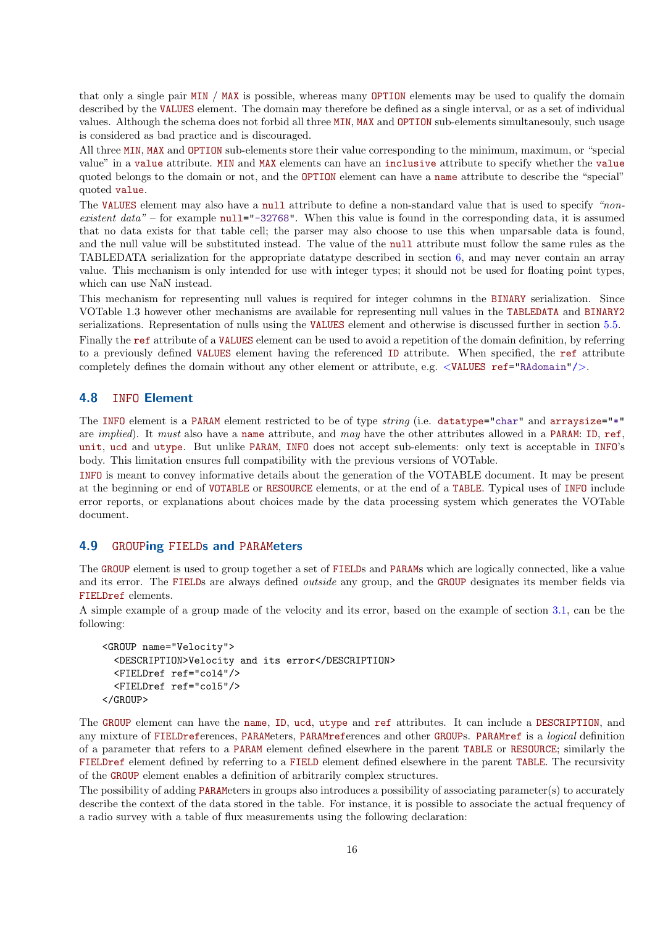that only a single pair MIN / MAX is possible, whereas many OPTION elements may be used to qualify the domain described by the VALUES element. The domain may therefore be defined as a single interval, or as a set of individual values. Although the schema does not forbid all three MIN, MAX and OPTION sub-elements simultanesouly, such usage is considered as bad practice and is discouraged.

All three MIN, MAX and OPTION sub-elements store their value corresponding to the minimum, maximum, or "special value" in a value attribute. MIN and MAX elements can have an inclusive attribute to specify whether the value quoted belongs to the domain or not, and the OPTION element can have a name attribute to describe the "special" quoted value.

The VALUES element may also have a null attribute to define a non-standard value that is used to specify "nonexistent data" – for example  $null = "–32768"$ . When this value is found in the corresponding data, it is assumed that no data exists for that table cell; the parser may also choose to use this when unparsable data is found, and the null value will be substituted instead. The value of the null attribute must follow the same rules as the TABLEDATA serialization for the appropriate datatype described in section [6,](#page-21-1) and may never contain an array value. This mechanism is only intended for use with integer types; it should not be used for floating point types, which can use NaN instead.

This mechanism for representing null values is required for integer columns in the BINARY serialization. Since VOTable 1.3 however other mechanisms are available for representing null values in the TABLEDATA and BINARY2 serializations. Representation of nulls using the VALUES element and otherwise is discussed further in section [5.5.](#page-19-1) Finally the ref attribute of a VALUES element can be used to avoid a repetition of the domain definition, by referring to a previously defined VALUES element having the referenced ID attribute. When specified, the ref attribute completely defines the domain without any other element or attribute, e.g.  $\langle$ VALUES ref="RAdomain"/ $\rangle$ .

#### <span id="page-15-0"></span>4.8 INFO Element

The INFO element is a PARAM element restricted to be of type *string* (i.e. datatype="char" and arraysize="\*" are *implied*). It must also have a name attribute, and may have the other attributes allowed in a PARAM: ID, ref, unit, ucd and utype. But unlike PARAM, INFO does not accept sub-elements: only text is acceptable in INFO's body. This limitation ensures full compatibility with the previous versions of VOTable.

INFO is meant to convey informative details about the generation of the VOTABLE document. It may be present at the beginning or end of VOTABLE or RESOURCE elements, or at the end of a TABLE. Typical uses of INFO include error reports, or explanations about choices made by the data processing system which generates the VOTable document.

#### <span id="page-15-1"></span>4.9 GROUPing FIELDs and PARAMeters

The GROUP element is used to group together a set of FIELDs and PARAMs which are logically connected, like a value and its error. The FIELDs are always defined *outside* any group, and the GROUP designates its member fields via FIELDref elements.

A simple example of a group made of the velocity and its error, based on the example of section [3.1,](#page-9-0) can be the following:

```
<GROUP name="Velocity">
 <DESCRIPTION>Velocity and its error</DESCRIPTION>
 <FIELDref ref="col4"/>
 <FIELDref ref="col5"/>
</GROUP>
```
The GROUP element can have the name, ID, ucd, utype and ref attributes. It can include a DESCRIPTION, and any mixture of FIELDreferences, PARAMeters, PARAMreferences and other GROUPs. PARAMref is a logical definition of a parameter that refers to a PARAM element defined elsewhere in the parent TABLE or RESOURCE; similarly the FIELDref element defined by referring to a FIELD element defined elsewhere in the parent TABLE. The recursivity of the GROUP element enables a definition of arbitrarily complex structures.

The possibility of adding PARAMeters in groups also introduces a possibility of associating parameter(s) to accurately describe the context of the data stored in the table. For instance, it is possible to associate the actual frequency of a radio survey with a table of flux measurements using the following declaration: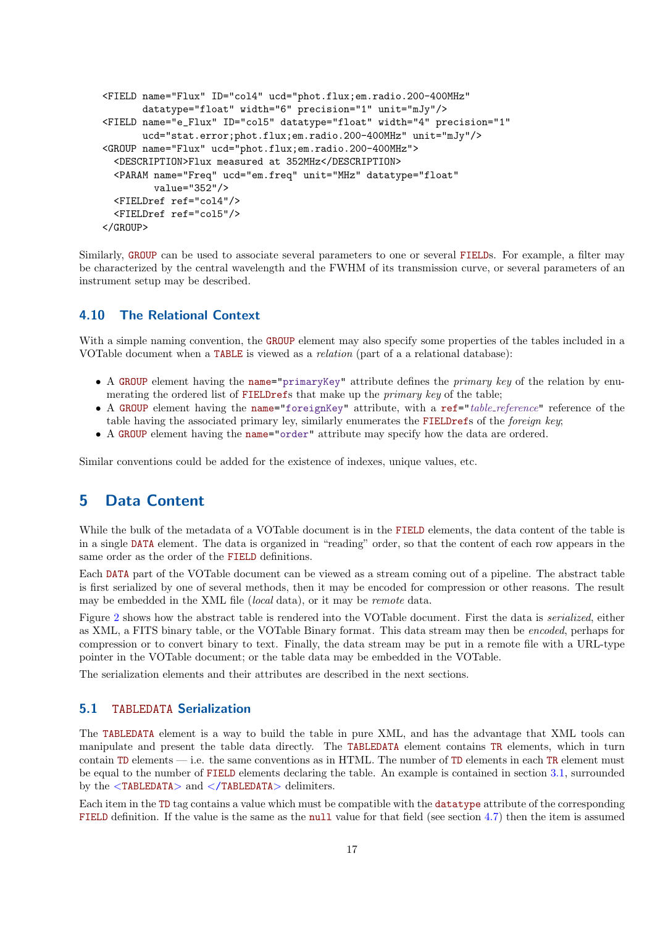```
<FIELD name="Flux" ID="col4" ucd="phot.flux;em.radio.200-400MHz"
       datatype="float" width="6" precision="1" unit="mJy"/>
<FIELD name="e_Flux" ID="col5" datatype="float" width="4" precision="1"
       ucd="stat.error;phot.flux;em.radio.200-400MHz" unit="mJy"/>
<GROUP name="Flux" ucd="phot.flux;em.radio.200-400MHz">
 <DESCRIPTION>Flux measured at 352MHz</DESCRIPTION>
 <PARAM name="Freq" ucd="em.freq" unit="MHz" datatype="float"
        value="352"/>
 <FIELDref ref="col4"/>
 <FIELDref ref="col5"/>
</GROUP>
```
Similarly, GROUP can be used to associate several parameters to one or several FIELDs. For example, a filter may be characterized by the central wavelength and the FWHM of its transmission curve, or several parameters of an instrument setup may be described.

# <span id="page-16-0"></span>4.10 The Relational Context

With a simple naming convention, the GROUP element may also specify some properties of the tables included in a VOTable document when a TABLE is viewed as a relation (part of a a relational database):

- A GROUP element having the name="primaryKey" attribute defines the primary key of the relation by enumerating the ordered list of FIELDrefs that make up the *primary key* of the table;
- A GROUP element having the name="foreignKey" attribute, with a ref="table\_reference" reference of the table having the associated primary ley, similarly enumerates the FIELDrefs of the foreign key;
- A GROUP element having the name="order" attribute may specify how the data are ordered.

Similar conventions could be added for the existence of indexes, unique values, etc.

# <span id="page-16-1"></span>5 Data Content

While the bulk of the metadata of a VOTable document is in the FIELD elements, the data content of the table is in a single DATA element. The data is organized in "reading" order, so that the content of each row appears in the same order as the order of the FIELD definitions.

Each DATA part of the VOTable document can be viewed as a stream coming out of a pipeline. The abstract table is first serialized by one of several methods, then it may be encoded for compression or other reasons. The result may be embedded in the XML file *(local data)*, or it may be *remote data*.

Figure [2](#page-17-1) shows how the abstract table is rendered into the VOTable document. First the data is serialized, either as XML, a FITS binary table, or the VOTable Binary format. This data stream may then be encoded, perhaps for compression or to convert binary to text. Finally, the data stream may be put in a remote file with a URL-type pointer in the VOTable document; or the table data may be embedded in the VOTable.

The serialization elements and their attributes are described in the next sections.

### <span id="page-16-2"></span>5.1 TABLEDATA Serialization

The TABLEDATA element is a way to build the table in pure XML, and has the advantage that XML tools can manipulate and present the table data directly. The TABLEDATA element contains TR elements, which in turn contain TD elements — i.e. the same conventions as in HTML. The number of TD elements in each TR element must be equal to the number of FIELD elements declaring the table. An example is contained in section [3.1,](#page-9-0) surrounded by the <TABLEDATA> and </TABLEDATA> delimiters.

Each item in the TD tag contains a value which must be compatible with the datatype attribute of the corresponding FIELD definition. If the value is the same as the null value for that field (see section [4.7\)](#page-14-2) then the item is assumed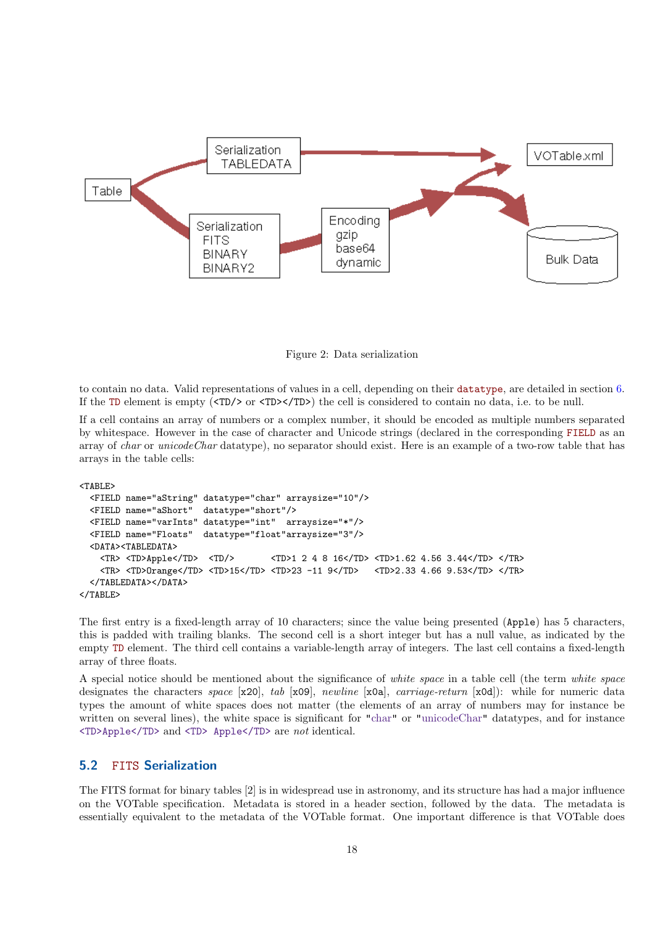

<span id="page-17-1"></span>

to contain no data. Valid representations of values in a cell, depending on their datatype, are detailed in section [6.](#page-21-1) If the TD element is empty (<TD/> or <TD></TD>) the cell is considered to contain no data, i.e. to be null.

If a cell contains an array of numbers or a complex number, it should be encoded as multiple numbers separated by whitespace. However in the case of character and Unicode strings (declared in the corresponding FIELD as an array of *char* or *unicodeChar* datatype), no separator should exist. Here is an example of a two-row table that has arrays in the table cells:

```
<TABLE>
  <FIELD name="aString" datatype="char" arraysize="10"/>
  <FIELD name="aShort" datatype="short"/>
  <FIELD name="varInts" datatype="int" arraysize="*"/>
  <FIELD name="Floats" datatype="float"arraysize="3"/>
  <DATA><TABLEDATA>
    <TR> <TD>Apple</TD> <TD/> <TD>1 2 4 8 16</TD> <TD>1.62 4.56 3.44</TD> </TR>
    <TR> <TD>Orange</TD> <TD>15</TD> <TD>23 -11 9</TD> <TD>2.33 4.66 9.53</TD> </TR>
  </TABLEDATA></DATA>
</TABLE>
```
The first entry is a fixed-length array of 10 characters; since the value being presented (Apple) has 5 characters, this is padded with trailing blanks. The second cell is a short integer but has a null value, as indicated by the empty TD element. The third cell contains a variable-length array of integers. The last cell contains a fixed-length array of three floats.

A special notice should be mentioned about the significance of white space in a table cell (the term white space designates the characters space  $[x20]$ , tab  $[x09]$ , newline  $[x0a]$ , carriage-return  $[x0d]$ ): while for numeric data types the amount of white spaces does not matter (the elements of an array of numbers may for instance be written on several lines), the white space is significant for "char" or "unicodeChar" datatypes, and for instance <TD>Apple</TD> and <TD> Apple</TD> are not identical.

## <span id="page-17-0"></span>5.2 FITS Serialization

The FITS format for binary tables [2] is in widespread use in astronomy, and its structure has had a major influence on the VOTable specification. Metadata is stored in a header section, followed by the data. The metadata is essentially equivalent to the metadata of the VOTable format. One important difference is that VOTable does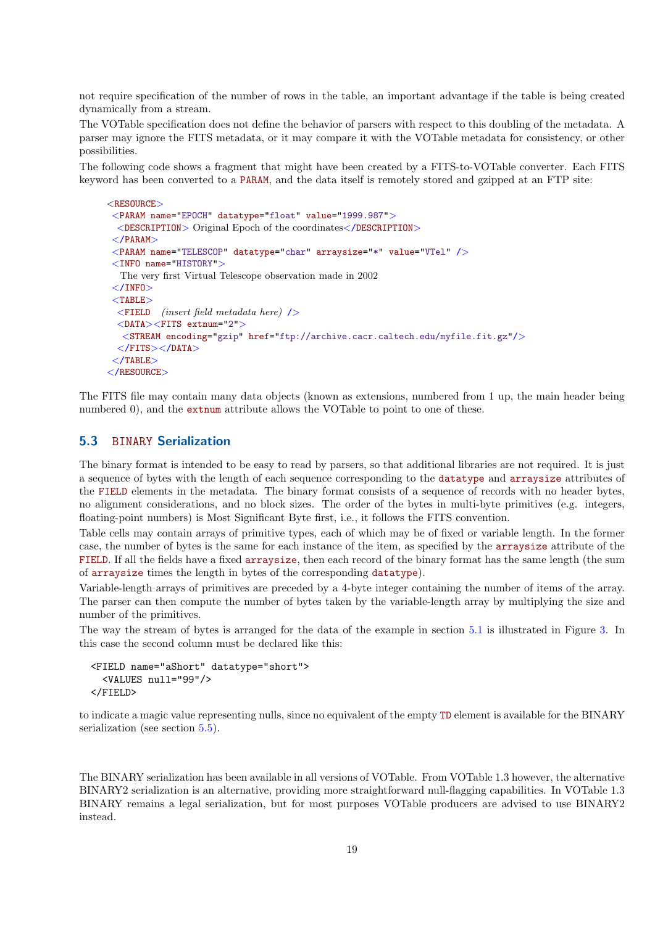not require specification of the number of rows in the table, an important advantage if the table is being created dynamically from a stream.

The VOTable specification does not define the behavior of parsers with respect to this doubling of the metadata. A parser may ignore the FITS metadata, or it may compare it with the VOTable metadata for consistency, or other possibilities.

The following code shows a fragment that might have been created by a FITS-to-VOTable converter. Each FITS keyword has been converted to a PARAM, and the data itself is remotely stored and gzipped at an FTP site:

```
\leqRESOURCE><PARAM name="EPOCH" datatype="float" value="1999.987">
 <DESCRIPTION> Original Epoch of the coordinates</DESCRIPTION>
</PARAM><PARAM name="TELESCOP" datatype="char" arraysize="*" value="VTel" />
<INFO name="HISTORY">
  The very first Virtual Telescope observation made in 2002
\angle/INFO\ge<TABLE><FIELD (insert field metadata here) />
 <DATA><FITS extnum="2">
  <STREAM encoding="gzip" href="ftp://archive.cacr.caltech.edu/myfile.fit.gz"/>
 </FITS></DATA></TABLE></RESOURCE>
```
The FITS file may contain many data objects (known as extensions, numbered from 1 up, the main header being numbered 0), and the extnum attribute allows the VOTable to point to one of these.

# <span id="page-18-0"></span>5.3 BINARY Serialization

The binary format is intended to be easy to read by parsers, so that additional libraries are not required. It is just a sequence of bytes with the length of each sequence corresponding to the datatype and arraysize attributes of the FIELD elements in the metadata. The binary format consists of a sequence of records with no header bytes, no alignment considerations, and no block sizes. The order of the bytes in multi-byte primitives (e.g. integers, floating-point numbers) is Most Significant Byte first, i.e., it follows the FITS convention.

Table cells may contain arrays of primitive types, each of which may be of fixed or variable length. In the former case, the number of bytes is the same for each instance of the item, as specified by the arraysize attribute of the FIELD. If all the fields have a fixed arraysize, then each record of the binary format has the same length (the sum of arraysize times the length in bytes of the corresponding datatype).

Variable-length arrays of primitives are preceded by a 4-byte integer containing the number of items of the array. The parser can then compute the number of bytes taken by the variable-length array by multiplying the size and number of the primitives.

The way the stream of bytes is arranged for the data of the example in section [5.1](#page-16-2) is illustrated in Figure [3.](#page-19-2) In this case the second column must be declared like this:

```
<FIELD name="aShort" datatype="short">
  <VALUES null="99"/>
</FIELD>
```
to indicate a magic value representing nulls, since no equivalent of the empty TD element is available for the BINARY serialization (see section [5.5\)](#page-19-1).

The BINARY serialization has been available in all versions of VOTable. From VOTable 1.3 however, the alternative BINARY2 serialization is an alternative, providing more straightforward null-flagging capabilities. In VOTable 1.3 BINARY remains a legal serialization, but for most purposes VOTable producers are advised to use BINARY2 instead.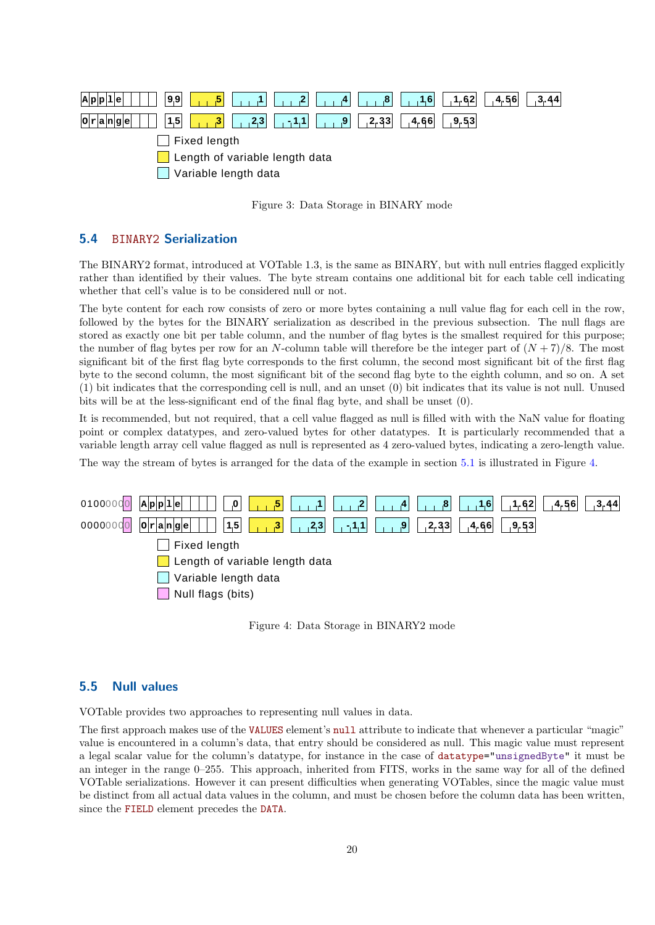

<span id="page-19-2"></span>Figure 3: Data Storage in BINARY mode

# <span id="page-19-0"></span>5.4 BINARY2 Serialization

The BINARY2 format, introduced at VOTable 1.3, is the same as BINARY, but with null entries flagged explicitly rather than identified by their values. The byte stream contains one additional bit for each table cell indicating whether that cell's value is to be considered null or not.

The byte content for each row consists of zero or more bytes containing a null value flag for each cell in the row, followed by the bytes for the BINARY serialization as described in the previous subsection. The null flags are stored as exactly one bit per table column, and the number of flag bytes is the smallest required for this purpose; the number of flag bytes per row for an N-column table will therefore be the integer part of  $(N+7)/8$ . The most significant bit of the first flag byte corresponds to the first column, the second most significant bit of the first flag byte to the second column, the most significant bit of the second flag byte to the eighth column, and so on. A set (1) bit indicates that the corresponding cell is null, and an unset (0) bit indicates that its value is not null. Unused bits will be at the less-significant end of the final flag byte, and shall be unset (0).

It is recommended, but not required, that a cell value flagged as null is filled with with the NaN value for floating point or complex datatypes, and zero-valued bytes for other datatypes. It is particularly recommended that a variable length array cell value flagged as null is represented as 4 zero-valued bytes, indicating a zero-length value.

The way the stream of bytes is arranged for the data of the example in section [5.1](#page-16-2) is illustrated in Figure [4.](#page-19-3)



<span id="page-19-3"></span>Figure 4: Data Storage in BINARY2 mode

#### <span id="page-19-1"></span>5.5 Null values

VOTable provides two approaches to representing null values in data.

The first approach makes use of the VALUES element's null attribute to indicate that whenever a particular "magic" value is encountered in a column's data, that entry should be considered as null. This magic value must represent a legal scalar value for the column's datatype, for instance in the case of datatype="unsignedByte" it must be an integer in the range 0–255. This approach, inherited from FITS, works in the same way for all of the defined VOTable serializations. However it can present difficulties when generating VOTables, since the magic value must be distinct from all actual data values in the column, and must be chosen before the column data has been written, since the FIELD element precedes the DATA.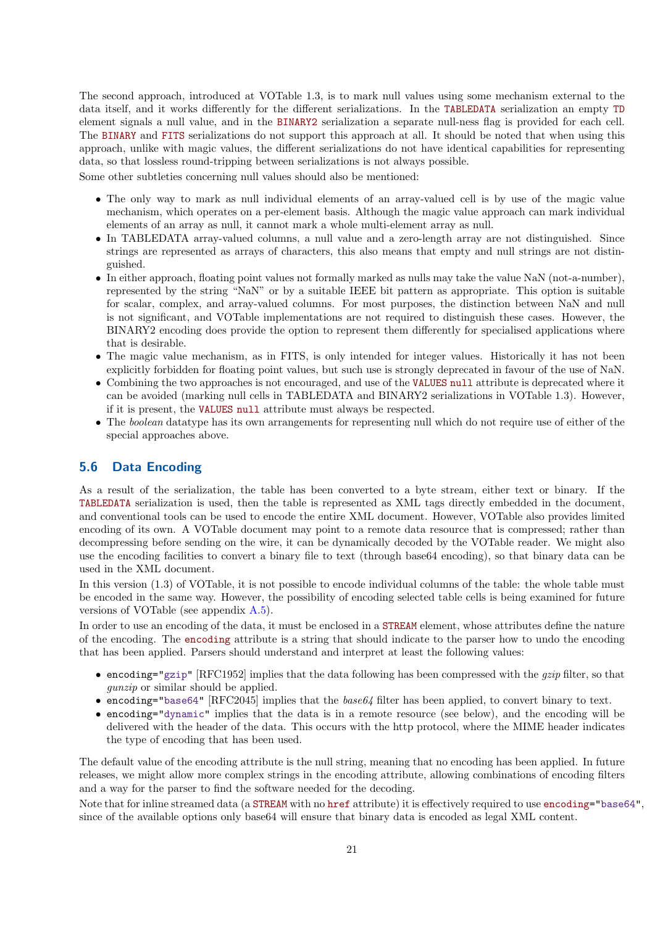The second approach, introduced at VOTable 1.3, is to mark null values using some mechanism external to the data itself, and it works differently for the different serializations. In the TABLEDATA serialization an empty TD element signals a null value, and in the BINARY2 serialization a separate null-ness flag is provided for each cell. The BINARY and FITS serializations do not support this approach at all. It should be noted that when using this approach, unlike with magic values, the different serializations do not have identical capabilities for representing data, so that lossless round-tripping between serializations is not always possible.

Some other subtleties concerning null values should also be mentioned:

- The only way to mark as null individual elements of an array-valued cell is by use of the magic value mechanism, which operates on a per-element basis. Although the magic value approach can mark individual elements of an array as null, it cannot mark a whole multi-element array as null.
- In TABLEDATA array-valued columns, a null value and a zero-length array are not distinguished. Since strings are represented as arrays of characters, this also means that empty and null strings are not distinguished.
- In either approach, floating point values not formally marked as nulls may take the value NaN (not-a-number), represented by the string "NaN" or by a suitable IEEE bit pattern as appropriate. This option is suitable for scalar, complex, and array-valued columns. For most purposes, the distinction between NaN and null is not significant, and VOTable implementations are not required to distinguish these cases. However, the BINARY2 encoding does provide the option to represent them differently for specialised applications where that is desirable.
- The magic value mechanism, as in FITS, is only intended for integer values. Historically it has not been explicitly forbidden for floating point values, but such use is strongly deprecated in favour of the use of NaN.
- Combining the two approaches is not encouraged, and use of the VALUES null attribute is deprecated where it can be avoided (marking null cells in TABLEDATA and BINARY2 serializations in VOTable 1.3). However, if it is present, the VALUES null attribute must always be respected.
- The *boolean* datatype has its own arrangements for representing null which do not require use of either of the special approaches above.

### <span id="page-20-0"></span>5.6 Data Encoding

As a result of the serialization, the table has been converted to a byte stream, either text or binary. If the TABLEDATA serialization is used, then the table is represented as XML tags directly embedded in the document, and conventional tools can be used to encode the entire XML document. However, VOTable also provides limited encoding of its own. A VOTable document may point to a remote data resource that is compressed; rather than decompressing before sending on the wire, it can be dynamically decoded by the VOTable reader. We might also use the encoding facilities to convert a binary file to text (through base64 encoding), so that binary data can be used in the XML document.

In this version (1.3) of VOTable, it is not possible to encode individual columns of the table: the whole table must be encoded in the same way. However, the possibility of encoding selected table cells is being examined for future versions of VOTable (see appendix [A.5\)](#page-31-0).

In order to use an encoding of the data, it must be enclosed in a STREAM element, whose attributes define the nature of the encoding. The encoding attribute is a string that should indicate to the parser how to undo the encoding that has been applied. Parsers should understand and interpret at least the following values:

- encoding="gzip" [RFC1952] implies that the data following has been compressed with the *gzip* filter, so that gunzip or similar should be applied.
- encoding="base64" [RFC2045] implies that the  $base64$  filter has been applied, to convert binary to text.
- encoding="dynamic" implies that the data is in a remote resource (see below), and the encoding will be delivered with the header of the data. This occurs with the http protocol, where the MIME header indicates the type of encoding that has been used.

The default value of the encoding attribute is the null string, meaning that no encoding has been applied. In future releases, we might allow more complex strings in the encoding attribute, allowing combinations of encoding filters and a way for the parser to find the software needed for the decoding.

Note that for inline streamed data (a STREAM with no href attribute) it is effectively required to use encoding="base64", since of the available options only base64 will ensure that binary data is encoded as legal XML content.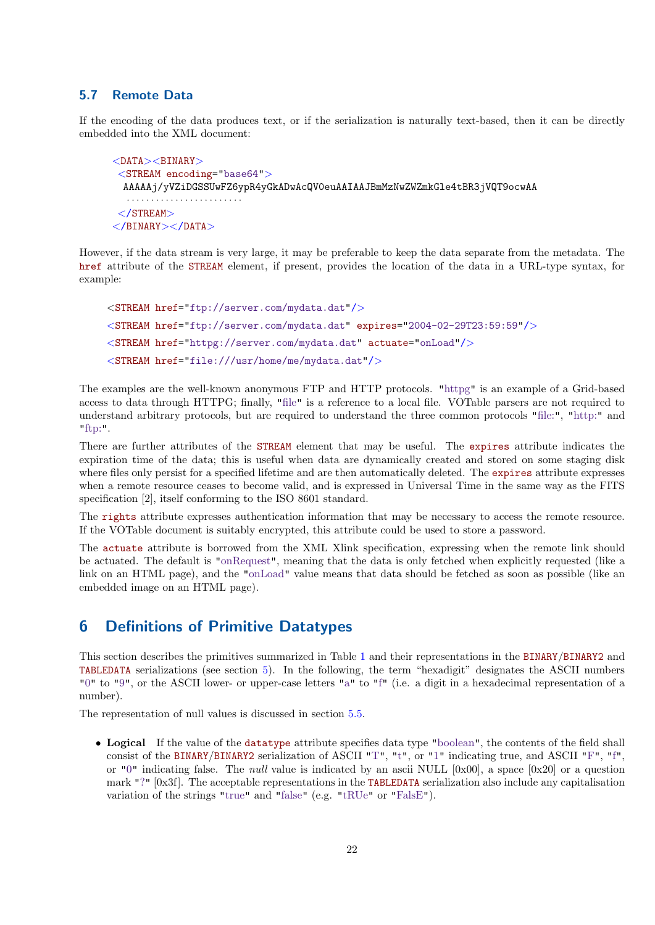#### <span id="page-21-0"></span>5.7 Remote Data

If the encoding of the data produces text, or if the serialization is naturally text-based, then it can be directly embedded into the XML document:

```
<DATA><BINARY><STREAM encoding="base64">
 AAAAAj/yVZiDGSSUwFZ6ypR4yGkADwAcQV0euAAIAAJBmMzNwZWZmkGle4tBR3jVQT9ocwAA
  · · · · · · · · · · · · · · · · · · · · · · · ·
 </STREAM>
</BINARY></DATA>
```
However, if the data stream is very large, it may be preferable to keep the data separate from the metadata. The href attribute of the STREAM element, if present, provides the location of the data in a URL-type syntax, for example:

```
<STREAM href="ftp://server.com/mydata.dat"/>
<STREAM href="ftp://server.com/mydata.dat" expires="2004-02-29T23:59:59"/>
<STREAM href="httpg://server.com/mydata.dat" actuate="onLoad"/>
<STREAM href="file:///usr/home/me/mydata.dat"/>
```
The examples are the well-known anonymous FTP and HTTP protocols. "httpg" is an example of a Grid-based access to data through HTTPG; finally, "file" is a reference to a local file. VOTable parsers are not required to understand arbitrary protocols, but are required to understand the three common protocols "file:", "http:" and "ftp:".

There are further attributes of the STREAM element that may be useful. The expires attribute indicates the expiration time of the data; this is useful when data are dynamically created and stored on some staging disk where files only persist for a specified lifetime and are then automatically deleted. The expires attribute expresses when a remote resource ceases to become valid, and is expressed in Universal Time in the same way as the FITS specification [2], itself conforming to the ISO 8601 standard.

The rights attribute expresses authentication information that may be necessary to access the remote resource. If the VOTable document is suitably encrypted, this attribute could be used to store a password.

The actuate attribute is borrowed from the XML Xlink specification, expressing when the remote link should be actuated. The default is "onRequest", meaning that the data is only fetched when explicitly requested (like a link on an HTML page), and the "onLoad" value means that data should be fetched as soon as possible (like an embedded image on an HTML page).

# <span id="page-21-1"></span>6 Definitions of Primitive Datatypes

This section describes the primitives summarized in Table [1](#page-7-2) and their representations in the BINARY/BINARY2 and TABLEDATA serializations (see section [5\)](#page-16-1). In the following, the term "hexadigit" designates the ASCII numbers "0" to "9", or the ASCII lower- or upper-case letters "a" to "f" (i.e. a digit in a hexadecimal representation of a number).

The representation of null values is discussed in section [5.5.](#page-19-1)

• Logical If the value of the datatype attribute specifies data type "boolean", the contents of the field shall consist of the BINARY/BINARY2 serialization of ASCII "T", "t", or "1" indicating true, and ASCII "F", "f", or "0" indicating false. The *null* value is indicated by an ascii NULL  $[0x00]$ , a space  $[0x20]$  or a question mark "?" [0x3f]. The acceptable representations in the TABLEDATA serialization also include any capitalisation variation of the strings "true" and "false" (e.g. "tRUe" or "FalsE").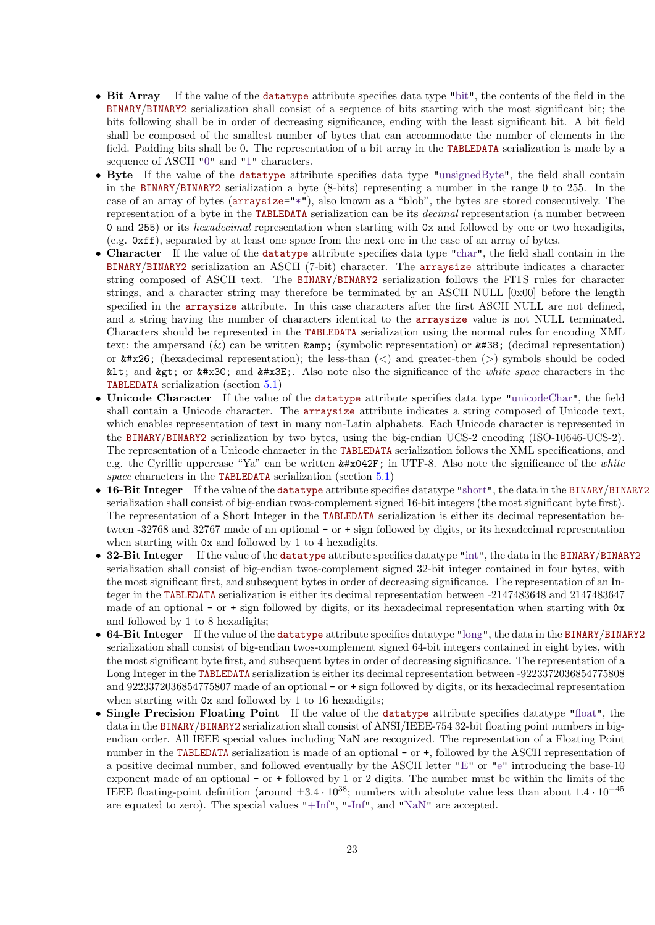- Bit Array If the value of the datatype attribute specifies data type "bit", the contents of the field in the BINARY/BINARY2 serialization shall consist of a sequence of bits starting with the most significant bit; the bits following shall be in order of decreasing significance, ending with the least significant bit. A bit field shall be composed of the smallest number of bytes that can accommodate the number of elements in the field. Padding bits shall be 0. The representation of a bit array in the TABLEDATA serialization is made by a sequence of ASCII "0" and "1" characters.
- Byte If the value of the datatype attribute specifies data type "unsignedByte", the field shall contain in the BINARY/BINARY2 serialization a byte (8-bits) representing a number in the range 0 to 255. In the case of an array of bytes (arraysize="\*"), also known as a "blob", the bytes are stored consecutively. The representation of a byte in the TABLEDATA serialization can be its decimal representation (a number between 0 and 255) or its *hexadecimal* representation when starting with 0x and followed by one or two hexadigits, (e.g. 0xff), separated by at least one space from the next one in the case of an array of bytes.
- Character If the value of the datatype attribute specifies data type "char", the field shall contain in the BINARY/BINARY2 serialization an ASCII (7-bit) character. The arraysize attribute indicates a character string composed of ASCII text. The BINARY/BINARY2 serialization follows the FITS rules for character strings, and a character string may therefore be terminated by an ASCII NULL [0x00] before the length specified in the arraysize attribute. In this case characters after the first ASCII NULL are not defined, and a string having the number of characters identical to the arraysize value is not NULL terminated. Characters should be represented in the TABLEDATA serialization using the normal rules for encoding XML text: the ampersand  $(\&)$  can be written  $\&$  amp; (symbolic representation) or  $\&$  #38; (decimal representation) or  $\text{Lip}$ ; (hexadecimal representation); the less-than (<) and greater-then (>) symbols should be coded &1t; and > or  $\&\#x3C$ ; and  $\&\#x3E$ . Also note also the significance of the *white space* characters in the TABLEDATA serialization (section [5.1\)](#page-16-2)
- Unicode Character If the value of the datatype attribute specifies data type "unicodeChar", the field shall contain a Unicode character. The arraysize attribute indicates a string composed of Unicode text, which enables representation of text in many non-Latin alphabets. Each Unicode character is represented in the BINARY/BINARY2 serialization by two bytes, using the big-endian UCS-2 encoding (ISO-10646-UCS-2). The representation of a Unicode character in the TABLEDATA serialization follows the XML specifications, and e.g. the Cyrillic uppercase "Ya" can be written  $\text{Lip}$  in UTF-8. Also note the significance of the white space characters in the **TABLEDATA** serialization (section [5.1\)](#page-16-2)
- 16-Bit Integer If the value of the datatype attribute specifies datatype "short", the data in the BINARY/BINARY2 serialization shall consist of big-endian twos-complement signed 16-bit integers (the most significant byte first). The representation of a Short Integer in the TABLEDATA serialization is either its decimal representation between -32768 and 32767 made of an optional - or + sign followed by digits, or its hexadecimal representation when starting with 0x and followed by 1 to 4 hexadigits.
- 32-Bit Integer If the value of the datatype attribute specifies datatype "int", the data in the BINARY/BINARY2 serialization shall consist of big-endian twos-complement signed 32-bit integer contained in four bytes, with the most significant first, and subsequent bytes in order of decreasing significance. The representation of an Integer in the TABLEDATA serialization is either its decimal representation between -2147483648 and 2147483647 made of an optional  $-$  or  $+$  sign followed by digits, or its hexadecimal representation when starting with  $0x$ and followed by 1 to 8 hexadigits;
- 64-Bit Integer If the value of the datatype attribute specifies datatype "long", the data in the BINARY/BINARY2 serialization shall consist of big-endian twos-complement signed 64-bit integers contained in eight bytes, with the most significant byte first, and subsequent bytes in order of decreasing significance. The representation of a Long Integer in the TABLEDATA serialization is either its decimal representation between -9223372036854775808 and 9223372036854775807 made of an optional - or + sign followed by digits, or its hexadecimal representation when starting with  $0x$  and followed by 1 to 16 hexadigits;
- Single Precision Floating Point If the value of the datatype attribute specifies datatype "float", the data in the BINARY/BINARY2 serialization shall consist of ANSI/IEEE-754 32-bit floating point numbers in bigendian order. All IEEE special values including NaN are recognized. The representation of a Floating Point number in the TABLEDATA serialization is made of an optional - or +, followed by the ASCII representation of a positive decimal number, and followed eventually by the ASCII letter "E" or "e" introducing the base-10 exponent made of an optional - or + followed by 1 or 2 digits. The number must be within the limits of the IEEE floating-point definition (around  $\pm 3.4 \cdot 10^{38}$ ; numbers with absolute value less than about  $1.4 \cdot 10^{-45}$ are equated to zero). The special values "+Inf", "-Inf", and "NaN" are accepted.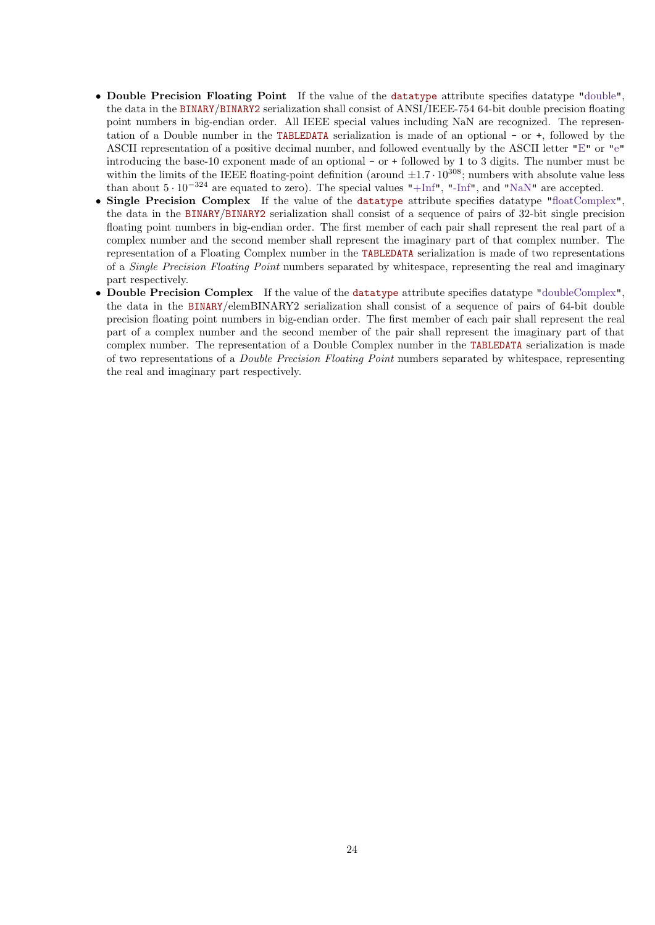- Double Precision Floating Point If the value of the datatype attribute specifies datatype "double", the data in the BINARY/BINARY2 serialization shall consist of ANSI/IEEE-754 64-bit double precision floating point numbers in big-endian order. All IEEE special values including NaN are recognized. The representation of a Double number in the TABLEDATA serialization is made of an optional - or +, followed by the ASCII representation of a positive decimal number, and followed eventually by the ASCII letter "E" or "e" introducing the base-10 exponent made of an optional - or + followed by 1 to 3 digits. The number must be within the limits of the IEEE floating-point definition (around  $\pm 1.7 \cdot 10^{308}$ ; numbers with absolute value less than about  $5 \cdot 10^{-324}$  are equated to zero). The special values "+Inf", "-Inf", and "NaN" are accepted.
- Single Precision Complex If the value of the datatype attribute specifies datatype "floatComplex", the data in the BINARY/BINARY2 serialization shall consist of a sequence of pairs of 32-bit single precision floating point numbers in big-endian order. The first member of each pair shall represent the real part of a complex number and the second member shall represent the imaginary part of that complex number. The representation of a Floating Complex number in the TABLEDATA serialization is made of two representations of a Single Precision Floating Point numbers separated by whitespace, representing the real and imaginary part respectively.
- Double Precision Complex If the value of the datatype attribute specifies datatype "doubleComplex", the data in the BINARY/elemBINARY2 serialization shall consist of a sequence of pairs of 64-bit double precision floating point numbers in big-endian order. The first member of each pair shall represent the real part of a complex number and the second member of the pair shall represent the imaginary part of that complex number. The representation of a Double Complex number in the TABLEDATA serialization is made of two representations of a Double Precision Floating Point numbers separated by whitespace, representing the real and imaginary part respectively.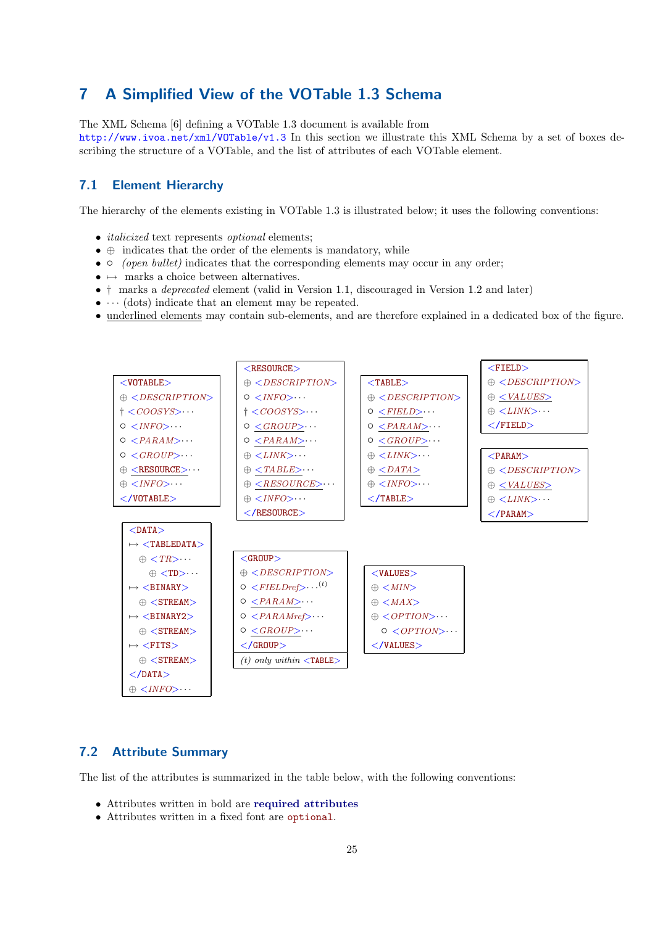# <span id="page-24-0"></span>7 A Simplified View of the VOTable 1.3 Schema

The XML Schema [6] defining a VOTable 1.3 document is available from

<http://www.ivoa.net/xml/VOTable/v1.3> In this section we illustrate this XML Schema by a set of boxes describing the structure of a VOTable, and the list of attributes of each VOTable element.

# <span id="page-24-1"></span>7.1 Element Hierarchy

The hierarchy of the elements existing in VOTable 1.3 is illustrated below; it uses the following conventions:

- *italicized* text represents *optional* elements;
- ⊕ indicates that the order of the elements is mandatory, while
- $\circ$  (open bullet) indicates that the corresponding elements may occur in any order;
- $\bullet \leftrightarrow$  marks a choice between alternatives.
- † marks a deprecated element (valid in Version 1.1, discouraged in Version 1.2 and later)
- $\bullet \cdots$  (dots) indicate that an element may be repeated.
- underlined elements may contain sub-elements, and are therefore explained in a dedicated box of the figure.



# <span id="page-24-2"></span>7.2 Attribute Summary

The list of the attributes is summarized in the table below, with the following conventions:

- Attributes written in bold are required attributes
- Attributes written in a fixed font are optional.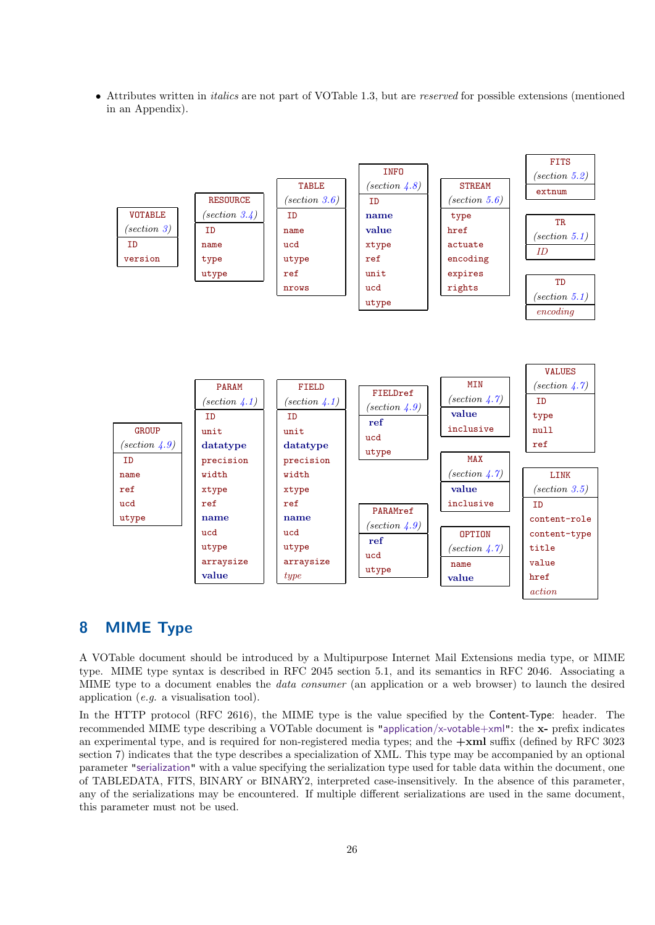• Attributes written in italics are not part of VOTable 1.3, but are reserved for possible extensions (mentioned in an Appendix).



# <span id="page-25-0"></span>8 MIME Type

A VOTable document should be introduced by a Multipurpose Internet Mail Extensions media type, or MIME type. MIME type syntax is described in RFC 2045 section 5.1, and its semantics in RFC 2046. Associating a MIME type to a document enables the data consumer (an application or a web browser) to launch the desired application (e.g. a visualisation tool).

In the HTTP protocol (RFC 2616), the MIME type is the value specified by the Content-Type: header. The recommended MIME type describing a VOTable document is "application/x-votable+xml": the x- prefix indicates an experimental type, and is required for non-registered media types; and the +xml suffix (defined by RFC 3023 section 7) indicates that the type describes a specialization of XML. This type may be accompanied by an optional parameter "serialization" with a value specifying the serialization type used for table data within the document, one of TABLEDATA, FITS, BINARY or BINARY2, interpreted case-insensitively. In the absence of this parameter, any of the serializations may be encountered. If multiple different serializations are used in the same document, this parameter must not be used.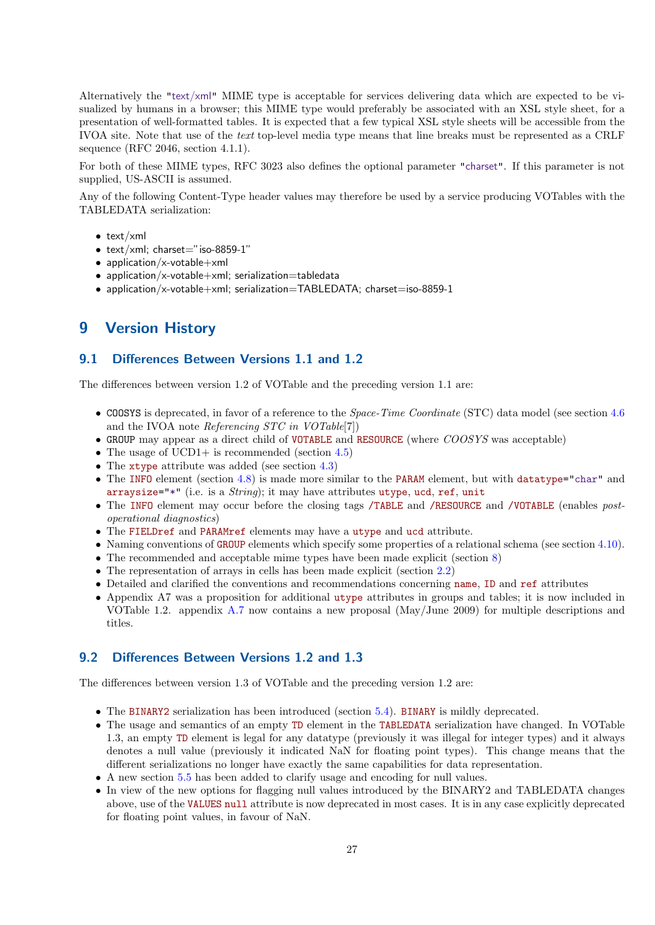Alternatively the "text/xml" MIME type is acceptable for services delivering data which are expected to be visualized by humans in a browser; this MIME type would preferably be associated with an XSL style sheet, for a presentation of well-formatted tables. It is expected that a few typical XSL style sheets will be accessible from the IVOA site. Note that use of the text top-level media type means that line breaks must be represented as a CRLF sequence (RFC 2046, section 4.1.1).

For both of these MIME types, RFC 3023 also defines the optional parameter "charset". If this parameter is not supplied, US-ASCII is assumed.

Any of the following Content-Type header values may therefore be used by a service producing VOTables with the TABLEDATA serialization:

- text/xml
- $\bullet$  text/xml; charset="iso-8859-1"
- application/ $x$ -votable $+x$ ml
- application/x-votable+xml; serialization=tabledata
- application/x-votable+xml; serialization=TABLEDATA; charset=iso-8859-1

# <span id="page-26-0"></span>9 Version History

# <span id="page-26-1"></span>9.1 Differences Between Versions 1.1 and 1.2

The differences between version 1.2 of VOTable and the preceding version 1.1 are:

- COOSYS is deprecated, in favor of a reference to the *Space-Time Coordinate* (STC) data model (see section [4.6](#page-14-1) and the IVOA note Referencing STC in VOTable[7])
- GROUP may appear as a direct child of VOTABLE and RESOURCE (where COOSYS was acceptable)
- The usage of UCD1+ is recommended (section  $4.5$ )
- The xtype attribute was added (see section [4.3\)](#page-13-1)
- The INFO element (section [4.8\)](#page-15-0) is made more similar to the PARAM element, but with datatype="char" and arraysize=" $*$ " (i.e. is a *String*); it may have attributes utype, ucd, ref, unit
- The INFO element may occur before the closing tags /TABLE and /RESOURCE and /VOTABLE (enables postoperational diagnostics)
- The FIELDref and PARAMref elements may have a utype and ucd attribute.
- Naming conventions of GROUP elements which specify some properties of a relational schema (see section [4.10\)](#page-16-0).
- The recommended and acceptable mime types have been made explicit (section [8\)](#page-25-0)
- The representation of arrays in cells has been made explicit (section [2.2\)](#page-7-1)
- Detailed and clarified the conventions and recommendations concerning name, ID and ref attributes
- Appendix A7 was a proposition for additional utype attributes in groups and tables; it is now included in VOTable 1.2. appendix [A.7](#page-31-2) now contains a new proposal (May/June 2009) for multiple descriptions and titles.

# <span id="page-26-2"></span>9.2 Differences Between Versions 1.2 and 1.3

The differences between version 1.3 of VOTable and the preceding version 1.2 are:

- The BINARY2 serialization has been introduced (section [5.4\)](#page-19-0). BINARY is mildly deprecated.
- The usage and semantics of an empty TD element in the TABLEDATA serialization have changed. In VOTable 1.3, an empty TD element is legal for any datatype (previously it was illegal for integer types) and it always denotes a null value (previously it indicated NaN for floating point types). This change means that the different serializations no longer have exactly the same capabilities for data representation.
- A new section [5.5](#page-19-1) has been added to clarify usage and encoding for null values.
- In view of the new options for flagging null values introduced by the BINARY2 and TABLEDATA changes above, use of the VALUES null attribute is now deprecated in most cases. It is in any case explicitly deprecated for floating point values, in favour of NaN.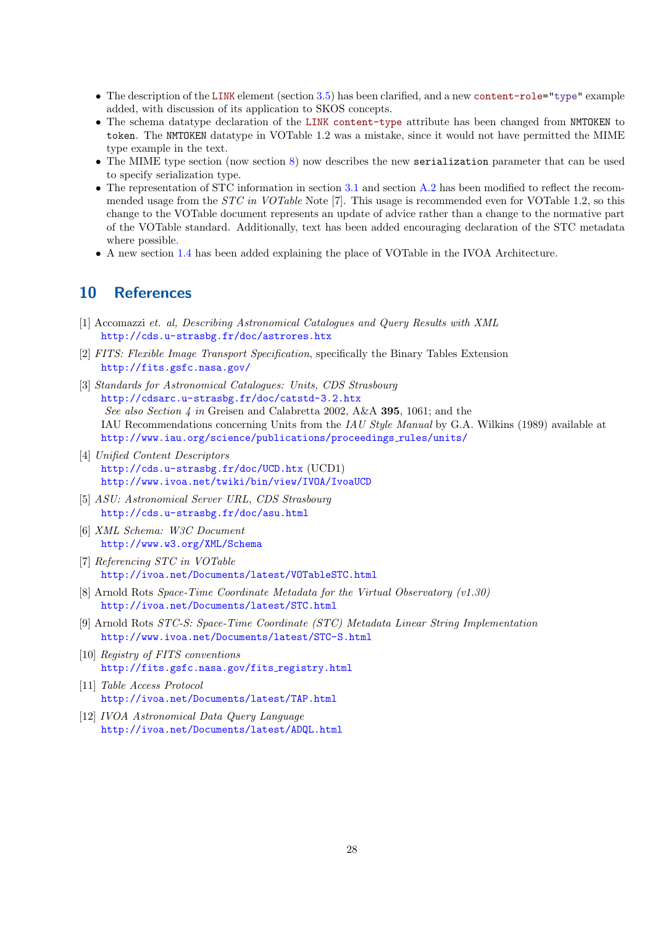- The description of the LINK element (section [3.5\)](#page-11-1) has been clarified, and a new content-role="type" example added, with discussion of its application to SKOS concepts.
- The schema datatype declaration of the LINK content-type attribute has been changed from NMTOKEN to token. The NMTOKEN datatype in VOTable 1.2 was a mistake, since it would not have permitted the MIME type example in the text.
- The MIME type section (now section [8\)](#page-25-0) now describes the new serialization parameter that can be used to specify serialization type.
- The representation of STC information in section [3.1](#page-9-0) and section [A.2](#page-28-2) has been modified to reflect the recommended usage from the *STC in VOTable* Note [7]. This usage is recommended even for VOTable 1.2, so this change to the VOTable document represents an update of advice rather than a change to the normative part of the VOTable standard. Additionally, text has been added encouraging declaration of the STC metadata where possible.
- A new section [1.4](#page-5-2) has been added explaining the place of VOTable in the IVOA Architecture.

# <span id="page-27-0"></span>10 References

- [1] Accomazzi et. al, Describing Astronomical Catalogues and Query Results with XML <http://cds.u-strasbg.fr/doc/astrores.htx>
- [2] FITS: Flexible Image Transport Specification, specifically the Binary Tables Extension <http://fits.gsfc.nasa.gov/>
- [3] Standards for Astronomical Catalogues: Units, CDS Strasbourg <http://cdsarc.u-strasbg.fr/doc/catstd-3.2.htx> See also Section 4 in Greisen and Calabretta 2002, A&A 395, 1061; and the IAU Recommendations concerning Units from the IAU Style Manual by G.A. Wilkins (1989) available at [http://www.iau.org/science/publications/proceedings](http://www.iau.org/science/publications/proceedings_rules/units/)\_rules/units/
- [4] Unified Content Descriptors <http://cds.u-strasbg.fr/doc/UCD.htx> (UCD1) <http://www.ivoa.net/twiki/bin/view/IVOA/IvoaUCD>
- [5] ASU: Astronomical Server URL, CDS Strasbourg <http://cds.u-strasbg.fr/doc/asu.html>
- [6] XML Schema: W3C Document <http://www.w3.org/XML/Schema>
- [7] Referencing STC in VOTable <http://ivoa.net/Documents/latest/VOTableSTC.html>
- [8] Arnold Rots Space-Time Coordinate Metadata for the Virtual Observatory (v1.30) <http://ivoa.net/Documents/latest/STC.html>
- [9] Arnold Rots STC-S: Space-Time Coordinate (STC) Metadata Linear String Implementation <http://www.ivoa.net/Documents/latest/STC-S.html>
- [10] Registry of FITS conventions [http://fits.gsfc.nasa.gov/fits](http://fits.gsfc.nasa.gov/fits_registry.html)\_registry.html
- [11] Table Access Protocol <http://ivoa.net/Documents/latest/TAP.html>
- [12] IVOA Astronomical Data Query Language <http://ivoa.net/Documents/latest/ADQL.html>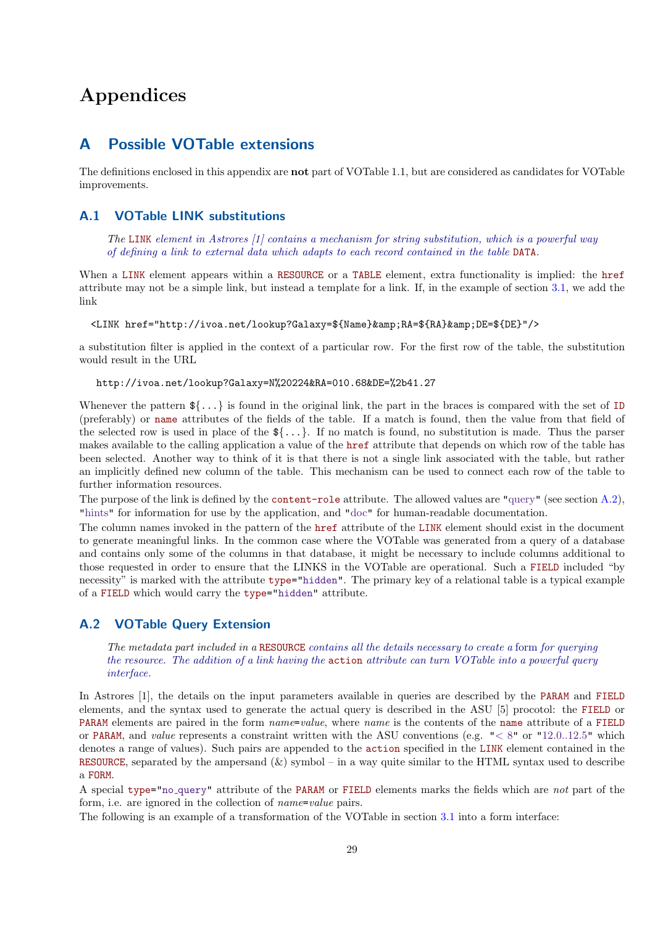# Appendices

# <span id="page-28-0"></span>A Possible VOTable extensions

The definitions enclosed in this appendix are not part of VOTable 1.1, but are considered as candidates for VOTable improvements.

# <span id="page-28-1"></span>A.1 VOTable LINK substitutions

The LINK element in Astrores [1] contains a mechanism for string substitution, which is a powerful way of defining a link to external data which adapts to each record contained in the table DATA.

When a LINK element appears within a RESOURCE or a TABLE element, extra functionality is implied: the href attribute may not be a simple link, but instead a template for a link. If, in the example of section [3.1,](#page-9-0) we add the link

<LINK href="http://ivoa.net/lookup?Galaxy=\${Name}&amp;RA=\${RA}&amp;DE=\${DE}"/>

a substitution filter is applied in the context of a particular row. For the first row of the table, the substitution would result in the URL

http://ivoa.net/lookup?Galaxy=N%20224&RA=010.68&DE=%2b41.27

Whenever the pattern  $\{\ldots\}$  is found in the original link, the part in the braces is compared with the set of ID (preferably) or name attributes of the fields of the table. If a match is found, then the value from that field of the selected row is used in place of the  $\{ \ldots \}$ . If no match is found, no substitution is made. Thus the parser makes available to the calling application a value of the href attribute that depends on which row of the table has been selected. Another way to think of it is that there is not a single link associated with the table, but rather an implicitly defined new column of the table. This mechanism can be used to connect each row of the table to further information resources.

The purpose of the link is defined by the content-role attribute. The allowed values are "query" (see section [A.2\)](#page-28-2), "hints" for information for use by the application, and "doc" for human-readable documentation.

The column names invoked in the pattern of the href attribute of the LINK element should exist in the document to generate meaningful links. In the common case where the VOTable was generated from a query of a database and contains only some of the columns in that database, it might be necessary to include columns additional to those requested in order to ensure that the LINKS in the VOTable are operational. Such a FIELD included "by necessity" is marked with the attribute type="hidden". The primary key of a relational table is a typical example of a FIELD which would carry the type="hidden" attribute.

#### <span id="page-28-2"></span>A.2 VOTable Query Extension

The metadata part included in a RESOURCE contains all the details necessary to create a form for querying the resource. The addition of a link having the action attribute can turn VOTable into a powerful query interface.

In Astrores [1], the details on the input parameters available in queries are described by the PARAM and FIELD elements, and the syntax used to generate the actual query is described in the ASU [5] procotol: the FIELD or PARAM elements are paired in the form name=value, where name is the contents of the name attribute of a FIELD or PARAM, and *value* represents a constraint written with the ASU conventions (e.g.  $\sim \ 8$ " or "12.0..12.5" which denotes a range of values). Such pairs are appended to the action specified in the LINK element contained in the RESOURCE, separated by the ampersand  $(\&)$  symbol – in a way quite similar to the HTML syntax used to describe a FORM.

A special type="no query" attribute of the PARAM or FIELD elements marks the fields which are not part of the form, i.e. are ignored in the collection of *name=value* pairs.

The following is an example of a transformation of the VOTable in section [3.1](#page-9-0) into a form interface: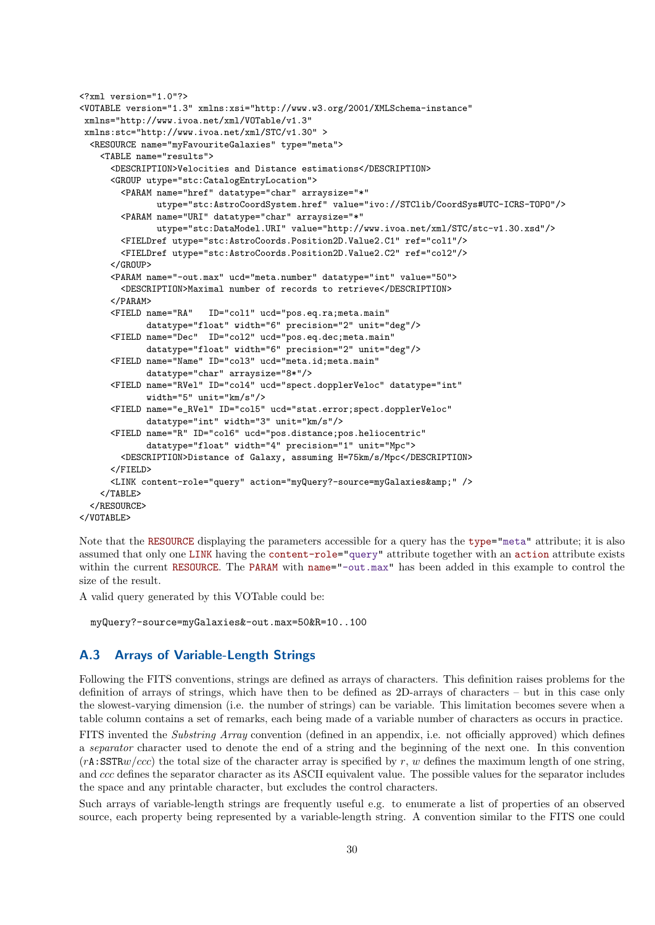```
<?xml version="1.0"?>
<VOTABLE version="1.3" xmlns:xsi="http://www.w3.org/2001/XMLSchema-instance"
xmlns="http://www.ivoa.net/xml/VOTable/v1.3"
xmlns:stc="http://www.ivoa.net/xml/STC/v1.30" >
 <RESOURCE name="myFavouriteGalaxies" type="meta">
    <TABLE name="results">
      <DESCRIPTION>Velocities and Distance estimations</DESCRIPTION>
     <GROUP utype="stc:CatalogEntryLocation">
       <PARAM name="href" datatype="char" arraysize="*"
               utype="stc:AstroCoordSystem.href" value="ivo://STClib/CoordSys#UTC-ICRS-TOPO"/>
       <PARAM name="URI" datatype="char" arraysize="*"
               utype="stc:DataModel.URI" value="http://www.ivoa.net/xml/STC/stc-v1.30.xsd"/>
       <FIELDref utype="stc:AstroCoords.Position2D.Value2.C1" ref="col1"/>
       <FIELDref utype="stc:AstroCoords.Position2D.Value2.C2" ref="col2"/>
      </GROUP>
      <PARAM name="-out.max" ucd="meta.number" datatype="int" value="50">
        <DESCRIPTION>Maximal number of records to retrieve</DESCRIPTION>
     </PARAM>
      <FIELD name="RA" ID="col1" ucd="pos.eq.ra;meta.main"
             datatype="float" width="6" precision="2" unit="deg"/>
      <FIELD name="Dec" ID="col2" ucd="pos.eq.dec;meta.main"
            datatype="float" width="6" precision="2" unit="deg"/>
      <FIELD name="Name" ID="col3" ucd="meta.id;meta.main"
             datatype="char" arraysize="8*"/>
      <FIELD name="RVel" ID="col4" ucd="spect.dopplerVeloc" datatype="int"
             width="5" unit="km/s"/>
      <FIELD name="e_RVel" ID="col5" ucd="stat.error;spect.dopplerVeloc"
             datatype="int" width="3" unit="km/s"/>
     <FIELD name="R" ID="col6" ucd="pos.distance;pos.heliocentric"
             datatype="float" width="4" precision="1" unit="Mpc">
       <DESCRIPTION>Distance of Galaxy, assuming H=75km/s/Mpc</DESCRIPTION>
     </FIELD>
      <LINK content-role="query" action="myQuery?-source=myGalaxies&amp;" />
    </TABLE>
 </RESOURCE>
</VOTABLE>
```
Note that the RESOURCE displaying the parameters accessible for a query has the type="meta" attribute; it is also assumed that only one LINK having the content-role="query" attribute together with an action attribute exists within the current RESOURCE. The PARAM with name="-out.max" has been added in this example to control the size of the result.

A valid query generated by this VOTable could be:

myQuery?-source=myGalaxies&-out.max=50&R=10..100

#### <span id="page-29-0"></span>A.3 Arrays of Variable-Length Strings

Following the FITS conventions, strings are defined as arrays of characters. This definition raises problems for the definition of arrays of strings, which have then to be defined as 2D-arrays of characters – but in this case only the slowest-varying dimension (i.e. the number of strings) can be variable. This limitation becomes severe when a table column contains a set of remarks, each being made of a variable number of characters as occurs in practice. FITS invented the Substring Array convention (defined in an appendix, i.e. not officially approved) which defines a separator character used to denote the end of a string and the beginning of the next one. In this convention  $(rA: \text{SSTR}w/cc)$  the total size of the character array is specified by r, w defines the maximum length of one string, and ccc defines the separator character as its ASCII equivalent value. The possible values for the separator includes the space and any printable character, but excludes the control characters.

Such arrays of variable-length strings are frequently useful e.g. to enumerate a list of properties of an observed source, each property being represented by a variable-length string. A convention similar to the FITS one could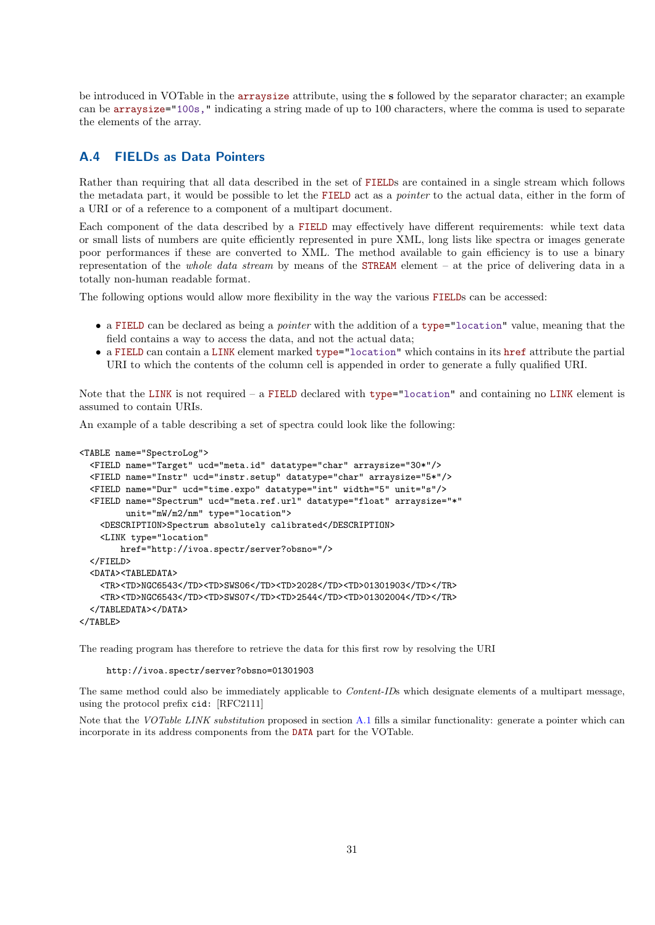be introduced in VOTable in the arraysize attribute, using the s followed by the separator character; an example can be arraysize="100s," indicating a string made of up to 100 characters, where the comma is used to separate the elements of the array.

# <span id="page-30-0"></span>A.4 FIELDs as Data Pointers

Rather than requiring that all data described in the set of FIELDs are contained in a single stream which follows the metadata part, it would be possible to let the FIELD act as a pointer to the actual data, either in the form of a URI or of a reference to a component of a multipart document.

Each component of the data described by a FIELD may effectively have different requirements: while text data or small lists of numbers are quite efficiently represented in pure XML, long lists like spectra or images generate poor performances if these are converted to XML. The method available to gain efficiency is to use a binary representation of the whole data stream by means of the STREAM element – at the price of delivering data in a totally non-human readable format.

The following options would allow more flexibility in the way the various FIELDs can be accessed:

- a FIELD can be declared as being a *pointer* with the addition of a type="location" value, meaning that the field contains a way to access the data, and not the actual data;
- a FIELD can contain a LINK element marked type="location" which contains in its href attribute the partial URI to which the contents of the column cell is appended in order to generate a fully qualified URI.

Note that the LINK is not required – a FIELD declared with  $type="location"$  and containing no LINK element is assumed to contain URIs.

An example of a table describing a set of spectra could look like the following:

```
<TABLE name="SpectroLog">
  <FIELD name="Target" ucd="meta.id" datatype="char" arraysize="30*"/>
  <FIELD name="Instr" ucd="instr.setup" datatype="char" arraysize="5*"/>
  <FIELD name="Dur" ucd="time.expo" datatype="int" width="5" unit="s"/>
  <FIELD name="Spectrum" ucd="meta.ref.url" datatype="float" arraysize="*"
         unit="mW/m2/nm" type="location">
    <DESCRIPTION>Spectrum absolutely calibrated</DESCRIPTION>
    <LINK type="location"
        href="http://ivoa.spectr/server?obsno="/>
  </FIELD>
  <DATA><TABLEDATA>
    <TR><TD>NGC6543</TD><TD>SWS06</TD><TD>2028</TD><TD>01301903</TD></TR>
    <TR><TD>NGC6543</TD><TD>SWS07</TD><TD>2544</TD><TD>01302004</TD></TR>
  </TABLEDATA></DATA>
\langle/TABLE>
```
The reading program has therefore to retrieve the data for this first row by resolving the URI

http://ivoa.spectr/server?obsno=01301903

The same method could also be immediately applicable to Content-IDs which designate elements of a multipart message, using the protocol prefix cid: [RFC2111]

Note that the VOTable LINK substitution proposed in section [A.1](#page-28-1) fills a similar functionality: generate a pointer which can incorporate in its address components from the DATA part for the VOTable.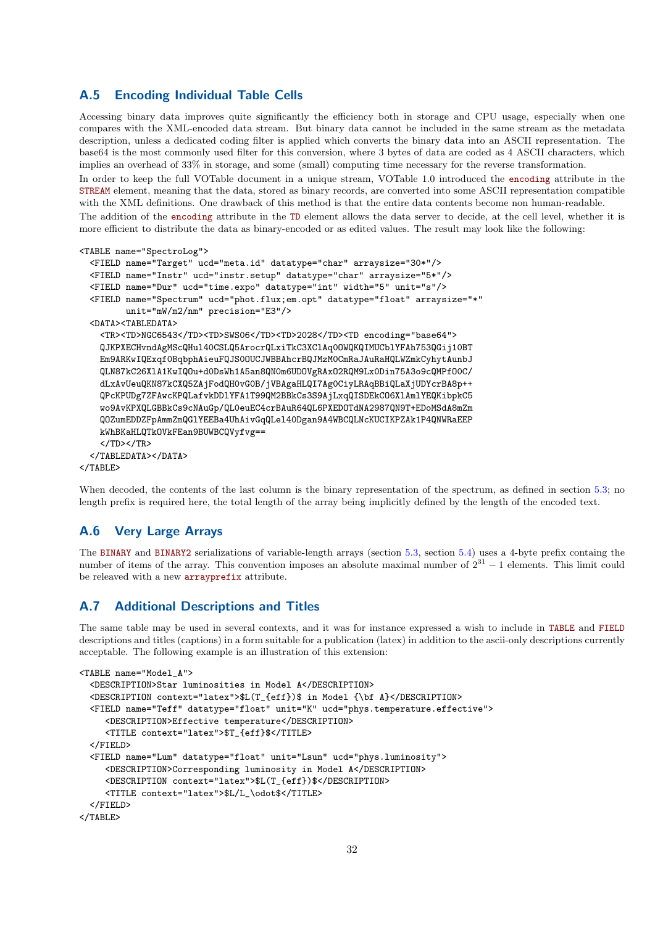#### <span id="page-31-0"></span>A.5 Encoding Individual Table Cells

Accessing binary data improves quite significantly the efficiency both in storage and CPU usage, especially when one compares with the XML-encoded data stream. But binary data cannot be included in the same stream as the metadata description, unless a dedicated coding filter is applied which converts the binary data into an ASCII representation. The base64 is the most commonly used filter for this conversion, where 3 bytes of data are coded as 4 ASCII characters, which implies an overhead of 33% in storage, and some (small) computing time necessary for the reverse transformation.

In order to keep the full VOTable document in a unique stream, VOTable 1.0 introduced the encoding attribute in the STREAM element, meaning that the data, stored as binary records, are converted into some ASCII representation compatible with the XML definitions. One drawback of this method is that the entire data contents become non human-readable.

The addition of the encoding attribute in the TD element allows the data server to decide, at the cell level, whether it is more efficient to distribute the data as binary-encoded or as edited values. The result may look like the following:

```
<TABLE name="SpectroLog">
  <FIELD name="Target" ucd="meta.id" datatype="char" arraysize="30*"/>
  <FIELD name="Instr" ucd="instr.setup" datatype="char" arraysize="5*"/>
  <FIELD name="Dur" ucd="time.expo" datatype="int" width="5" unit="s"/>
  <FIELD name="Spectrum" ucd="phot.flux;em.opt" datatype="float" arraysize="*"
         unit="mW/m2/nm" precision="E3"/>
  <DATA><TABLEDATA>
    <TR><TD>NGC6543</TD><TD>SWS06</TD><TD>2028</TD><TD encoding="base64">
    QJKPXECHvndAgMScQHul40CSLQ5ArocrQLxiTkC3XClAq0OWQKQIMUCblYFAh753QGij10BT
    Em9ARKwIQExqf0BqbphAieuFQJS0OUCJWBBAhcrBQJMzM0CmRaJAuRaHQLWZmkCyhytAunbJ
    QLN87kC26XlA1KwIQOu+d0DsWh1A5an8QN0m6UDOVgRAxO2RQM9Lx0Din75A3o9cQMPfO0C/
    dLxAvUeuQKN87kCXQ5ZAjFodQH0vG0B/jVBAgaHLQI7Ag0CiyLRAqBBiQLaXjUDYcrBA8p++
    QPcKPUDg7ZFAwcKPQLafvkDDlYFA1T99QM2BBkCs3S9AjLxqQISDEkCO6XlAmlYEQKibpkC5
    wo9AvKPXQLGBBkCs9cNAuGp/QL0euEC4crBAuR64QL6PXEDOTdNA2987QN9T+EDoMSdA8mZm
    QOZumEDDZFpAmmZmQGlYEEBa4UhAivGqQLel40Dgan9A4WBCQLNcKUCIKPZAk1P4QNWRaEEP
    kWhBKaHLQTkOVkFEan9BUWBCQVyfvg==
    </TD></TR>
  </TABLEDATA></DATA>
</TABLE>
```
When decoded, the contents of the last column is the binary representation of the spectrum, as defined in section [5.3;](#page-18-0) no length prefix is required here, the total length of the array being implicitly defined by the length of the encoded text.

#### <span id="page-31-1"></span>A.6 Very Large Arrays

The BINARY and BINARY2 serializations of variable-length arrays (section [5.3,](#page-18-0) section [5.4\)](#page-19-0) uses a 4-byte prefix containg the number of items of the array. This convention imposes an absolute maximal number of  $2^{31} - 1$  elements. This limit could be releaved with a new arrayprefix attribute.

#### <span id="page-31-2"></span>A.7 Additional Descriptions and Titles

The same table may be used in several contexts, and it was for instance expressed a wish to include in TABLE and FIELD descriptions and titles (captions) in a form suitable for a publication (latex) in addition to the ascii-only descriptions currently acceptable. The following example is an illustration of this extension:

```
<TABLE name="Model_A">
 <DESCRIPTION>Star luminosities in Model A</DESCRIPTION>
 <DESCRIPTION context="latex">$L(T_{eff})$ in Model {\bf A}</DESCRIPTION>
 <FIELD name="Teff" datatype="float" unit="K" ucd="phys.temperature.effective">
     <DESCRIPTION>Effective temperature</DESCRIPTION>
     <TITLE context="latex">$T_{eff}$</TITLE>
 </FIELD>
 <FIELD name="Lum" datatype="float" unit="Lsun" ucd="phys.luminosity">
     <DESCRIPTION>Corresponding luminosity in Model A</DESCRIPTION>
     <DESCRIPTION context="latex">$L(T_{eff})$</DESCRIPTION>
     <TITLE context="latex">$L/L_\odot$</TITLE>
 </FIELD>
</TABLE>
```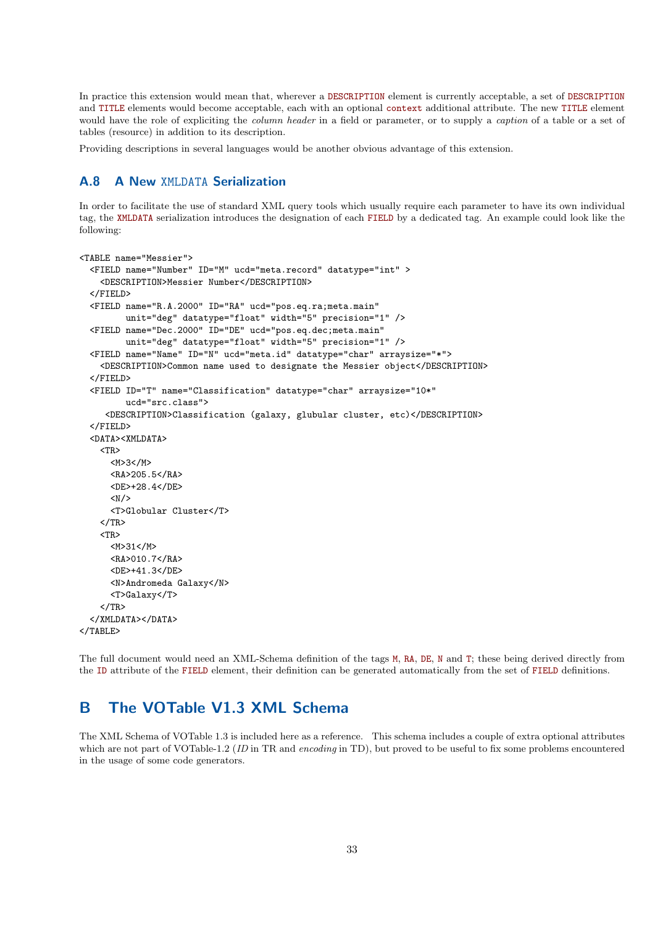In practice this extension would mean that, wherever a DESCRIPTION element is currently acceptable, a set of DESCRIPTION and TITLE elements would become acceptable, each with an optional context additional attribute. The new TITLE element would have the role of expliciting the *column header* in a field or parameter, or to supply a *caption* of a table or a set of tables (resource) in addition to its description.

Providing descriptions in several languages would be another obvious advantage of this extension.

# <span id="page-32-0"></span>A.8 A New XMLDATA Serialization

In order to facilitate the use of standard XML query tools which usually require each parameter to have its own individual tag, the XMLDATA serialization introduces the designation of each FIELD by a dedicated tag. An example could look like the following:

```
<TABLE name="Messier">
  <FIELD name="Number" ID="M" ucd="meta.record" datatype="int" >
    <DESCRIPTION>Messier Number</DESCRIPTION>
  </FIELD>
  <FIELD name="R.A.2000" ID="RA" ucd="pos.eq.ra;meta.main"
         unit="deg" datatype="float" width="5" precision="1" />
  <FIELD name="Dec.2000" ID="DE" ucd="pos.eq.dec;meta.main"
         unit="deg" datatype="float" width="5" precision="1" />
  <FIELD name="Name" ID="N" ucd="meta.id" datatype="char" arraysize="*">
    <DESCRIPTION>Common name used to designate the Messier object</DESCRIPTION>
  </FIELD>
  <FIELD ID="T" name="Classification" datatype="char" arraysize="10*"
         ucd="src.class">
     <DESCRIPTION>Classification (galaxy, glubular cluster, etc)</DESCRIPTION>
  </FIELD>
  <DATA><XMLDATA>
    <TR>
      <M>3</M>
      <RA>205.5</RA>
      <DE>+28.4</DE>
      < N / ><T>Globular Cluster</T>
    \langle/TR\rangle<TR>
      <M>31</M>
      <RA>010.7</RA>
      <DE>+41.3</DE>
      <N>Andromeda Galaxy</N>
      <T>Galaxy</T>
    </TR></XMLDATA></DATA>
</TABLE>
```
The full document would need an XML-Schema definition of the tags M, RA, DE, N and T; these being derived directly from the ID attribute of the FIELD element, their definition can be generated automatically from the set of FIELD definitions.

# <span id="page-32-1"></span>B The VOTable V1.3 XML Schema

The XML Schema of VOTable 1.3 is included here as a reference. This schema includes a couple of extra optional attributes which are not part of VOTable-1.2 (ID in TR and encoding in TD), but proved to be useful to fix some problems encountered in the usage of some code generators.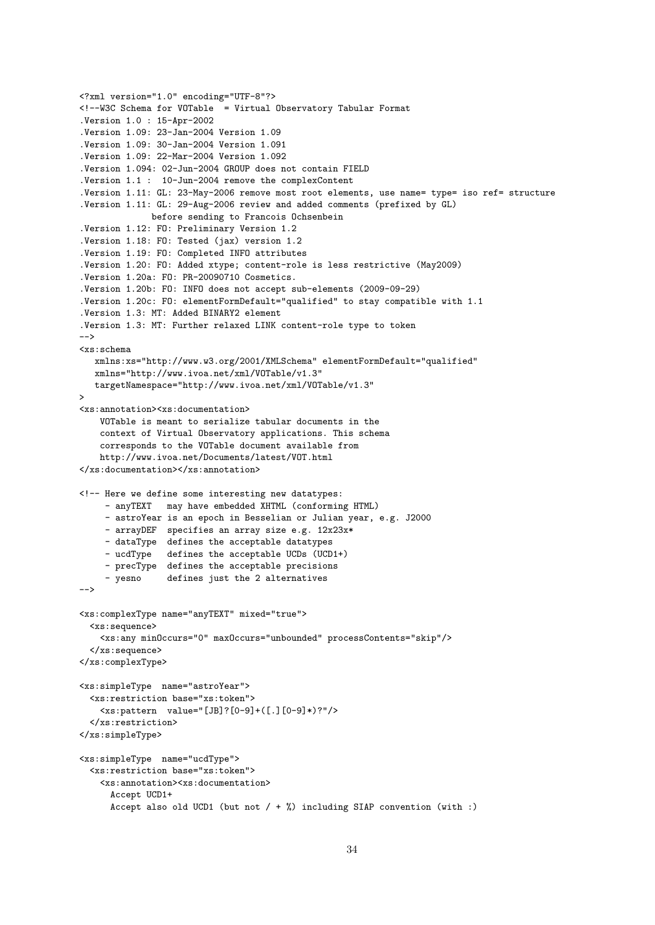```
<?xml version="1.0" encoding="UTF-8"?>
<!--W3C Schema for VOTable = Virtual Observatory Tabular Format
.Version 1.0 : 15-Apr-2002
.Version 1.09: 23-Jan-2004 Version 1.09
.Version 1.09: 30-Jan-2004 Version 1.091
.Version 1.09: 22-Mar-2004 Version 1.092
.Version 1.094: 02-Jun-2004 GROUP does not contain FIELD
.Version 1.1 : 10-Jun-2004 remove the complexContent
.Version 1.11: GL: 23-May-2006 remove most root elements, use name= type= iso ref= structure
.Version 1.11: GL: 29-Aug-2006 review and added comments (prefixed by GL)
              before sending to Francois Ochsenbein
.Version 1.12: FO: Preliminary Version 1.2
.Version 1.18: FO: Tested (jax) version 1.2
.Version 1.19: FO: Completed INFO attributes
.Version 1.20: FO: Added xtype; content-role is less restrictive (May2009)
.Version 1.20a: FO: PR-20090710 Cosmetics.
.Version 1.20b: FO: INFO does not accept sub-elements (2009-09-29)
.Version 1.20c: FO: elementFormDefault="qualified" to stay compatible with 1.1
.Version 1.3: MT: Added BINARY2 element
.Version 1.3: MT: Further relaxed LINK content-role type to token
-->
<xs:schema
  xmlns:xs="http://www.w3.org/2001/XMLSchema" elementFormDefault="qualified"
  xmlns="http://www.ivoa.net/xml/VOTable/v1.3"
  targetNamespace="http://www.ivoa.net/xml/VOTable/v1.3"
\rightarrow<xs:annotation><xs:documentation>
    VOTable is meant to serialize tabular documents in the
    context of Virtual Observatory applications. This schema
    corresponds to the VOTable document available from
    http://www.ivoa.net/Documents/latest/VOT.html
</xs:documentation></xs:annotation>
<!-- Here we define some interesting new datatypes:
     - anyTEXT may have embedded XHTML (conforming HTML)
     - astroYear is an epoch in Besselian or Julian year, e.g. J2000
     - arrayDEF specifies an array size e.g. 12x23x*
     - dataType defines the acceptable datatypes
     - ucdType defines the acceptable UCDs (UCD1+)
     - precType defines the acceptable precisions<br>- vesno defines just the 2 alternatives
                defines just the 2 alternatives
--<xs:complexType name="anyTEXT" mixed="true">
  <xs:sequence>
    <xs:any minOccurs="0" maxOccurs="unbounded" processContents="skip"/>
  </xs:sequence>
</xs:complexType>
<xs:simpleType name="astroYear">
  <xs:restriction base="xs:token">
    <xs:pattern value="[JB]?[0-9]+([.][0-9]*)?"/>
  </xs:restriction>
</xs:simpleType>
<xs:simpleType name="ucdType">
  <xs:restriction base="xs:token">
    <xs:annotation><xs:documentation>
      Accept UCD1+
      Accept also old UCD1 (but not / + \%) including SIAP convention (with :)
```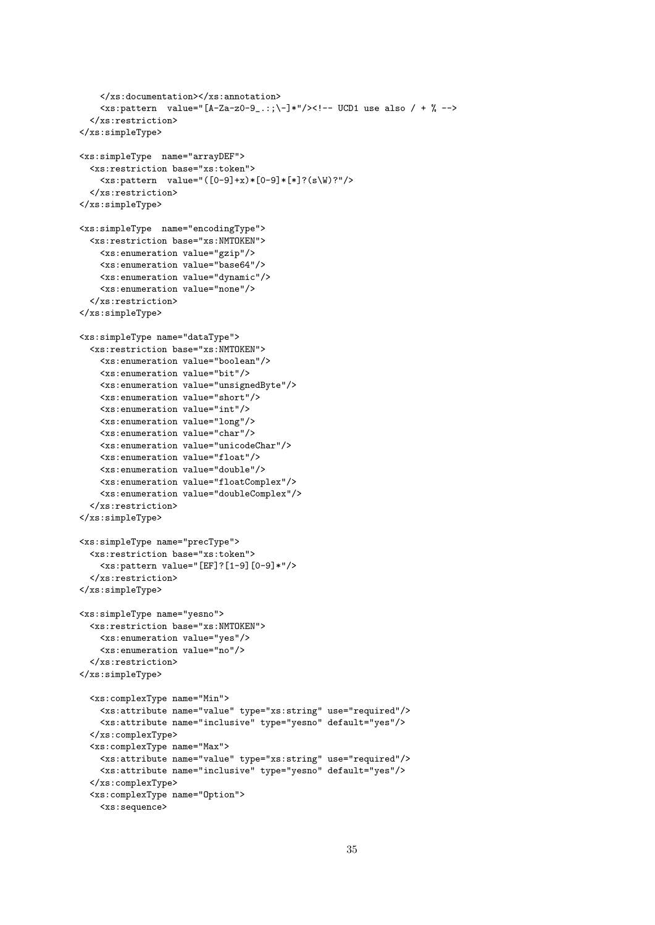```
</xs:documentation></xs:annotation>
    \langle x \rangle s:pattern value="[A-Za-z0-9_.:;\-]*"/><!-- UCD1 use also / + % -->
  </xs:restriction>
</xs:simpleType>
<xs:simpleType name="arrayDEF">
  <xs:restriction base="xs:token">
    \langle xs:pattern \ value="([0-9]+x)*(0-9]*[*]\rangle(s\W)?"/>
  \texttt{<}/\texttt{xs:restriction}</xs:simpleType>
<xs:simpleType name="encodingType">
  <xs:restriction base="xs:NMTOKEN">
    <xs:enumeration value="gzip"/>
    <xs:enumeration value="base64"/>
    <xs:enumeration value="dynamic"/>
    <xs:enumeration value="none"/>
  </xs:restriction>
</xs:simpleType>
<xs:simpleType name="dataType">
 <xs:restriction base="xs:NMTOKEN">
    <xs:enumeration value="boolean"/>
    <xs:enumeration value="bit"/>
    <xs:enumeration value="unsignedByte"/>
   <xs:enumeration value="short"/>
    <xs:enumeration value="int"/>
   <xs:enumeration value="long"/>
   <xs:enumeration value="char"/>
    <xs:enumeration value="unicodeChar"/>
    <xs:enumeration value="float"/>
    <xs:enumeration value="double"/>
    <xs:enumeration value="floatComplex"/>
    <xs:enumeration value="doubleComplex"/>
  </xs:restriction>
</xs:simpleType>
<xs:simpleType name="precType">
  <xs:restriction base="xs:token">
    <xs:pattern value="[EF]?[1-9][0-9]*"/>
  </xs:restriction>
</xs:simpleType>
<xs:simpleType name="yesno">
  <xs:restriction base="xs:NMTOKEN">
    <xs:enumeration value="yes"/>
    <xs:enumeration value="no"/>
  </xs:restriction>
</xs:simpleType>
  <xs:complexType name="Min">
    <xs:attribute name="value" type="xs:string" use="required"/>
    <xs:attribute name="inclusive" type="yesno" default="yes"/>
  </xs:complexType>
  <xs:complexType name="Max">
    <xs:attribute name="value" type="xs:string" use="required"/>
    <xs:attribute name="inclusive" type="yesno" default="yes"/>
  </xs:complexType>
  <xs:complexType name="Option">
    <xs:sequence>
```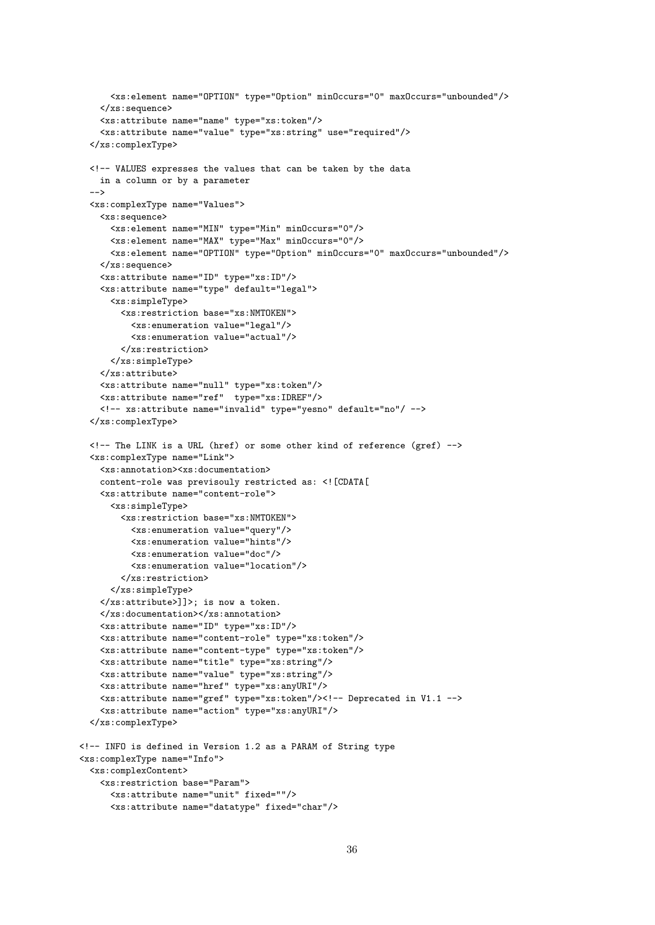```
<xs:element name="OPTION" type="Option" minOccurs="0" maxOccurs="unbounded"/>
    </xs:sequence>
    <xs:attribute name="name" type="xs:token"/>
    <xs:attribute name="value" type="xs:string" use="required"/>
  </xs:complexType>
  <!-- VALUES expresses the values that can be taken by the data
   in a column or by a parameter
  -->
  <xs:complexType name="Values">
    <xs:sequence>
      <xs:element name="MIN" type="Min" minOccurs="0"/>
      <xs:element name="MAX" type="Max" minOccurs="0"/>
      <xs:element name="OPTION" type="Option" minOccurs="0" maxOccurs="unbounded"/>
    </xs:sequence>
    <xs:attribute name="ID" type="xs:ID"/>
    <xs:attribute name="type" default="legal">
     <xs:simpleType>
        <xs:restriction base="xs:NMTOKEN">
         <xs:enumeration value="legal"/>
          <xs:enumeration value="actual"/>
       </xs:restriction>
      </xs:simpleType>
    </xs:attribute>
    <xs:attribute name="null" type="xs:token"/>
    <xs:attribute name="ref" type="xs:IDREF"/>
    <!-- xs:attribute name="invalid" type="yesno" default="no"/ -->
  </xs:complexType>
  <!-- The LINK is a URL (href) or some other kind of reference (gref) -->
  <xs:complexType name="Link">
    <xs:annotation><xs:documentation>
    content-role was previsouly restricted as: <![CDATA[
    <xs:attribute name="content-role">
      <xs:simpleType>
        <xs:restriction base="xs:NMTOKEN">
          <xs:enumeration value="query"/>
          <xs:enumeration value="hints"/>
          <xs:enumeration value="doc"/>
          <xs:enumeration value="location"/>
        </xs:restriction>
      </xs:simpleType>
    </xs:attribute>]]>; is now a token.
    </xs:documentation></xs:annotation>
    <xs:attribute name="ID" type="xs:ID"/>
    <xs:attribute name="content-role" type="xs:token"/>
    <xs:attribute name="content-type" type="xs:token"/>
    <xs:attribute name="title" type="xs:string"/>
    <xs:attribute name="value" type="xs:string"/>
    <xs:attribute name="href" type="xs:anyURI"/>
    <xs:attribute name="gref" type="xs:token"/><!-- Deprecated in V1.1 -->
    <xs:attribute name="action" type="xs:anyURI"/>
  </xs:complexType>
<!-- INFO is defined in Version 1.2 as a PARAM of String type
<xs:complexType name="Info">
  <xs:complexContent>
    <xs:restriction base="Param">
      <xs:attribute name="unit" fixed=""/>
      <xs:attribute name="datatype" fixed="char"/>
```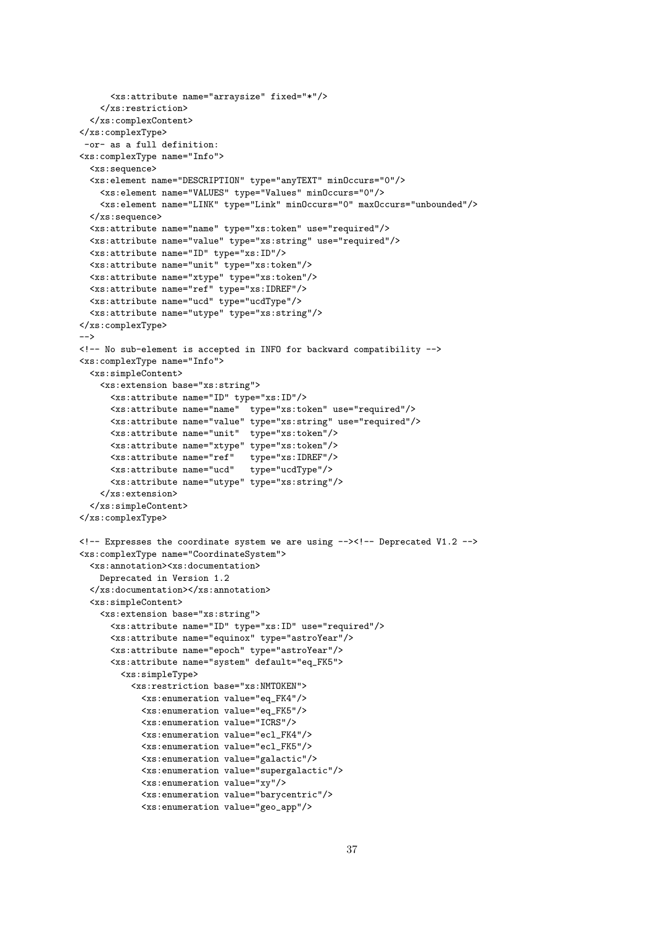```
<xs:attribute name="arraysize" fixed="*"/>
    </xs:restriction>
  </xs:complexContent>
</xs:complexType>
 -or- as a full definition:
<xs:complexType name="Info">
  <xs:sequence>
  <xs:element name="DESCRIPTION" type="anyTEXT" minOccurs="0"/>
    <xs:element name="VALUES" type="Values" minOccurs="0"/>
    <xs:element name="LINK" type="Link" minOccurs="0" maxOccurs="unbounded"/>
  </xs:sequence>
  <xs:attribute name="name" type="xs:token" use="required"/>
  <xs:attribute name="value" type="xs:string" use="required"/>
  <xs:attribute name="ID" type="xs:ID"/>
  <xs:attribute name="unit" type="xs:token"/>
 <xs:attribute name="xtype" type="xs:token"/>
 <xs:attribute name="ref" type="xs:IDREF"/>
 <xs:attribute name="ucd" type="ucdType"/>
  <xs:attribute name="utype" type="xs:string"/>
</xs:complexType>
-->
<!-- No sub-element is accepted in INFO for backward compatibility -->
<xs:complexType name="Info">
  <xs:simpleContent>
    <xs:extension base="xs:string">
      <xs:attribute name="ID" type="xs:ID"/>
      <xs:attribute name="name" type="xs:token" use="required"/>
      <xs:attribute name="value" type="xs:string" use="required"/>
      <xs:attribute name="unit" type="xs:token"/>
      <xs:attribute name="xtype" type="xs:token"/>
      <xs:attribute name="ref" type="xs:IDREF"/>
      <xs:attribute name="ucd" type="ucdType"/>
      <xs:attribute name="utype" type="xs:string"/>
    </xs:extension>
  </xs:simpleContent>
</xs:complexType>
\langle !-- Expresses the coordinate system we are using -->\langle !-- Deprecated V1.2 -->
<xs:complexType name="CoordinateSystem">
  <xs:annotation><xs:documentation>
   Deprecated in Version 1.2
  </xs:documentation></xs:annotation>
  <xs:simpleContent>
    <xs:extension base="xs:string">
      <xs:attribute name="ID" type="xs:ID" use="required"/>
      <xs:attribute name="equinox" type="astroYear"/>
      <xs:attribute name="epoch" type="astroYear"/>
      <xs:attribute name="system" default="eq_FK5">
        <xs:simpleType>
          <xs:restriction base="xs:NMTOKEN">
            <xs:enumeration value="eq_FK4"/>
            <xs:enumeration value="eq_FK5"/>
            <xs:enumeration value="ICRS"/>
            <xs:enumeration value="ecl_FK4"/>
            <xs:enumeration value="ecl_FK5"/>
            <xs:enumeration value="galactic"/>
            <xs:enumeration value="supergalactic"/>
            <xs:enumeration value="xy"/>
            <xs:enumeration value="barycentric"/>
            <xs:enumeration value="geo_app"/>
```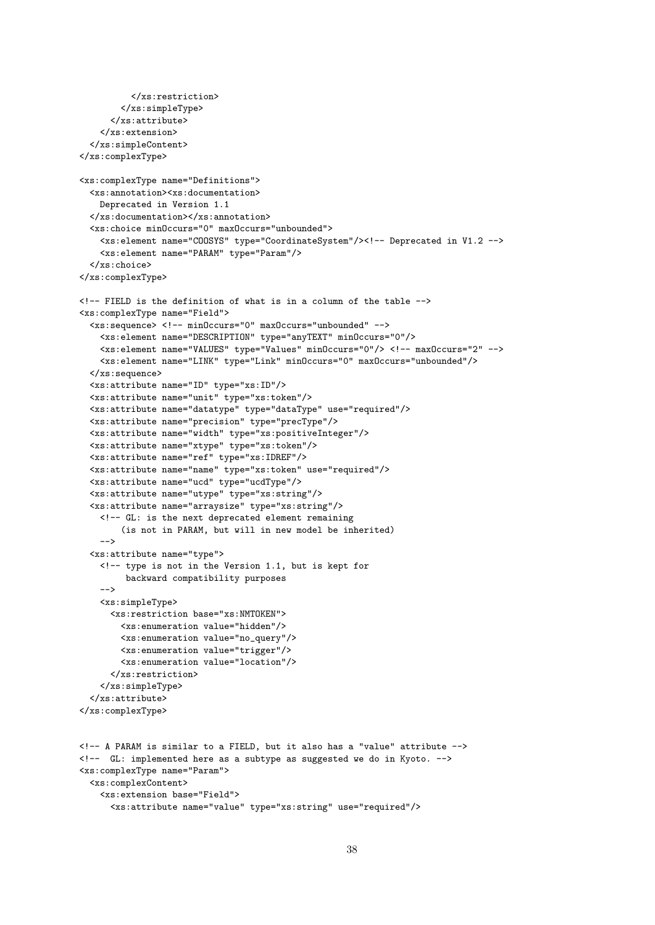```
</xs:restriction>
        </xs:simpleType>
      </xs:attribute>
    </xs:extension>
  </xs:simpleContent>
</xs:complexType>
<xs:complexType name="Definitions">
  <xs:annotation><xs:documentation>
   Deprecated in Version 1.1
  </xs:documentation></xs:annotation>
  <xs:choice minOccurs="0" maxOccurs="unbounded">
    <xs:element name="COOSYS" type="CoordinateSystem"/><!-- Deprecated in V1.2 -->
    <xs:element name="PARAM" type="Param"/>
  </xs:choice>
</xs:complexType>
<!-- FIELD is the definition of what is in a column of the table -->
<xs:complexType name="Field">
  <xs:sequence> <!-- minOccurs="0" maxOccurs="unbounded" -->
    <xs:element name="DESCRIPTION" type="anyTEXT" minOccurs="0"/>
    <xs:element name="VALUES" type="Values" minOccurs="0"/> <!-- maxOccurs="2" -->
    <xs:element name="LINK" type="Link" minOccurs="0" maxOccurs="unbounded"/>
  </xs:sequence>
  <xs:attribute name="ID" type="xs:ID"/>
  <xs:attribute name="unit" type="xs:token"/>
  <xs:attribute name="datatype" type="dataType" use="required"/>
  <xs:attribute name="precision" type="precType"/>
  <xs:attribute name="width" type="xs:positiveInteger"/>
  <xs:attribute name="xtype" type="xs:token"/>
  <xs:attribute name="ref" type="xs:IDREF"/>
  <xs:attribute name="name" type="xs:token" use="required"/>
  <xs:attribute name="ucd" type="ucdType"/>
  <xs:attribute name="utype" type="xs:string"/>
  <xs:attribute name="arraysize" type="xs:string"/>
    <!-- GL: is the next deprecated element remaining
        (is not in PARAM, but will in new model be inherited)
    --<xs:attribute name="type">
    <!-- type is not in the Version 1.1, but is kept for
        backward compatibility purposes
    --<xs:simpleType>
     <xs:restriction base="xs:NMTOKEN">
        <xs:enumeration value="hidden"/>
        <xs:enumeration value="no_query"/>
        <xs:enumeration value="trigger"/>
        <xs:enumeration value="location"/>
     </xs:restriction>
    </xs:simpleType>
  </xs:attribute>
</xs:complexType>
<!-- A PARAM is similar to a FIELD, but it also has a "value" attribute -->
<!-- GL: implemented here as a subtype as suggested we do in Kyoto. -->
<xs:complexType name="Param">
  <xs:complexContent>
    <xs:extension base="Field">
      <xs:attribute name="value" type="xs:string" use="required"/>
```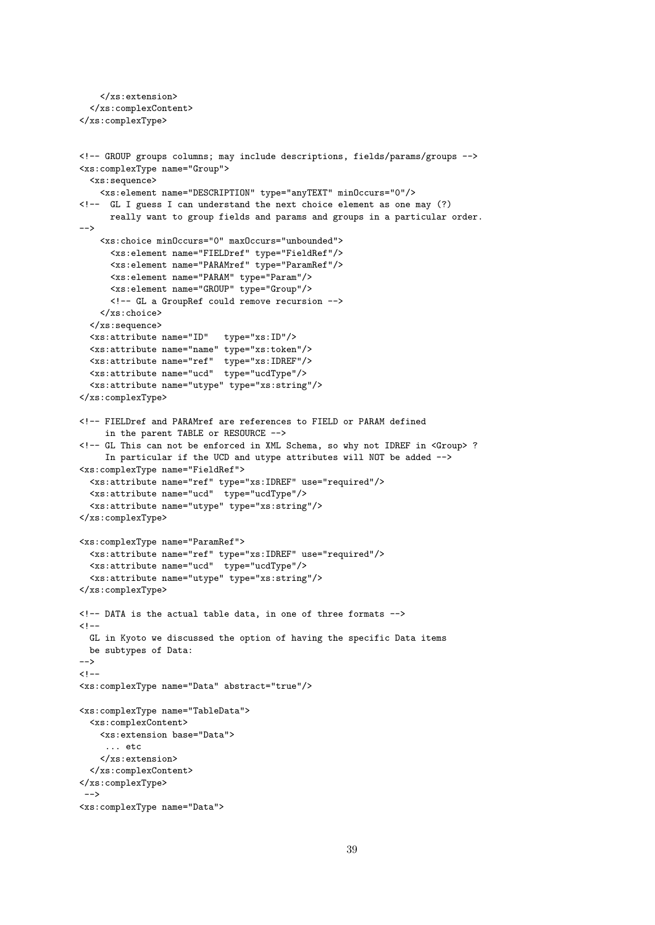```
</xs:extension>
  </xs:complexContent>
</xs:complexType>
<!-- GROUP groups columns; may include descriptions, fields/params/groups -->
<xs:complexType name="Group">
  <xs:sequence>
    <xs:element name="DESCRIPTION" type="anyTEXT" minOccurs="0"/>
<!-- GL I guess I can understand the next choice element as one may (?)
      really want to group fields and params and groups in a particular order.
\overline{\phantom{a}}<xs:choice minOccurs="0" maxOccurs="unbounded">
      <xs:element name="FIELDref" type="FieldRef"/>
      <xs:element name="PARAMref" type="ParamRef"/>
      <xs:element name="PARAM" type="Param"/>
      <xs:element name="GROUP" type="Group"/>
      <!-- GL a GroupRef could remove recursion -->
    </xs:choice>
  </xs:sequence>
  <xs:attribute name="ID" type="xs:ID"/>
  <xs:attribute name="name" type="xs:token"/>
  <xs:attribute name="ref" type="xs:IDREF"/>
 <xs:attribute name="ucd" type="ucdType"/>
  <xs:attribute name="utype" type="xs:string"/>
</xs:complexType>
<!-- FIELDref and PARAMref are references to FIELD or PARAM defined
     in the parent TABLE or RESOURCE -->
<!-- GL This can not be enforced in XML Schema, so why not IDREF in <Group> ?
     In particular if the UCD and utype attributes will NOT be added -->
<xs:complexType name="FieldRef">
 <xs:attribute name="ref" type="xs:IDREF" use="required"/>
  <xs:attribute name="ucd" type="ucdType"/>
  <xs:attribute name="utype" type="xs:string"/>
</xs:complexType>
<xs:complexType name="ParamRef">
 <xs:attribute name="ref" type="xs:IDREF" use="required"/>
  <xs:attribute name="ucd" type="ucdType"/>
  <xs:attribute name="utype" type="xs:string"/>
</xs:complexType>
<!-- DATA is the actual table data, in one of three formats -->
2!--GL in Kyoto we discussed the option of having the specific Data items
 be subtypes of Data:
-->
< 1 - -<xs:complexType name="Data" abstract="true"/>
<xs:complexType name="TableData">
 <xs:complexContent>
    <xs:extension base="Data">
     ... etc
    </xs:extension>
  </xs:complexContent>
</xs:complexType>
-->
<xs:complexType name="Data">
```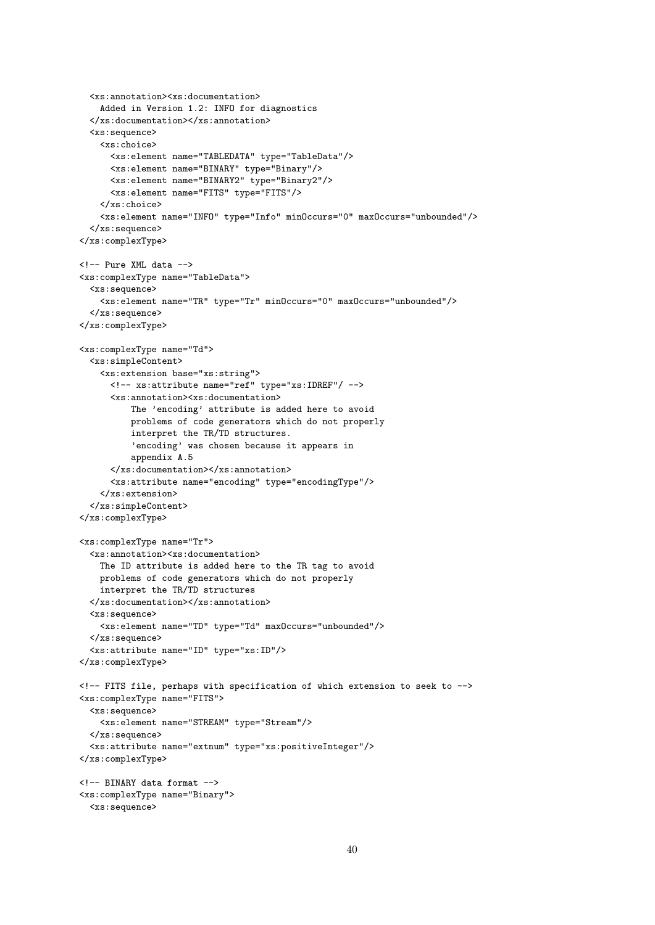```
<xs:annotation><xs:documentation>
    Added in Version 1.2: INFO for diagnostics
  </xs:documentation></xs:annotation>
  <xs:sequence>
    <xs:choice>
      <xs:element name="TABLEDATA" type="TableData"/>
      <xs:element name="BINARY" type="Binary"/>
      <xs:element name="BINARY2" type="Binary2"/>
      <xs:element name="FITS" type="FITS"/>
    </xs:choice>
    <xs:element name="INFO" type="Info" minOccurs="0" maxOccurs="unbounded"/>
  </xs:sequence>
</xs:complexType>
<!-- Pure XML data -->
<xs:complexType name="TableData">
  <xs:sequence>
    <xs:element name="TR" type="Tr" minOccurs="0" maxOccurs="unbounded"/>
  </xs:sequence>
</xs:complexType>
<xs:complexType name="Td">
  <xs:simpleContent>
    <xs:extension base="xs:string">
      <!-- xs:attribute name="ref" type="xs:IDREF"/ -->
      <xs:annotation><xs:documentation>
          The 'encoding' attribute is added here to avoid
          problems of code generators which do not properly
          interpret the TR/TD structures.
          'encoding' was chosen because it appears in
          appendix A.5
      </xs:documentation></xs:annotation>
      <xs:attribute name="encoding" type="encodingType"/>
    </xs:extension>
  </xs:simpleContent>
</xs:complexType>
<xs:complexType name="Tr">
  <xs:annotation><xs:documentation>
   The ID attribute is added here to the TR tag to avoid
   problems of code generators which do not properly
   interpret the TR/TD structures
  </xs:documentation></xs:annotation>
  <xs:sequence>
    <xs:element name="TD" type="Td" maxOccurs="unbounded"/>
  </xs:sequence>
  <xs:attribute name="ID" type="xs:ID"/>
</xs:complexType>
<!-- FITS file, perhaps with specification of which extension to seek to -->
<xs:complexType name="FITS">
  <xs:sequence>
    <xs:element name="STREAM" type="Stream"/>
  </xs:sequence>
  <xs:attribute name="extnum" type="xs:positiveInteger"/>
</xs:complexType>
<!-- BINARY data format -->
<xs:complexType name="Binary">
  <xs:sequence>
```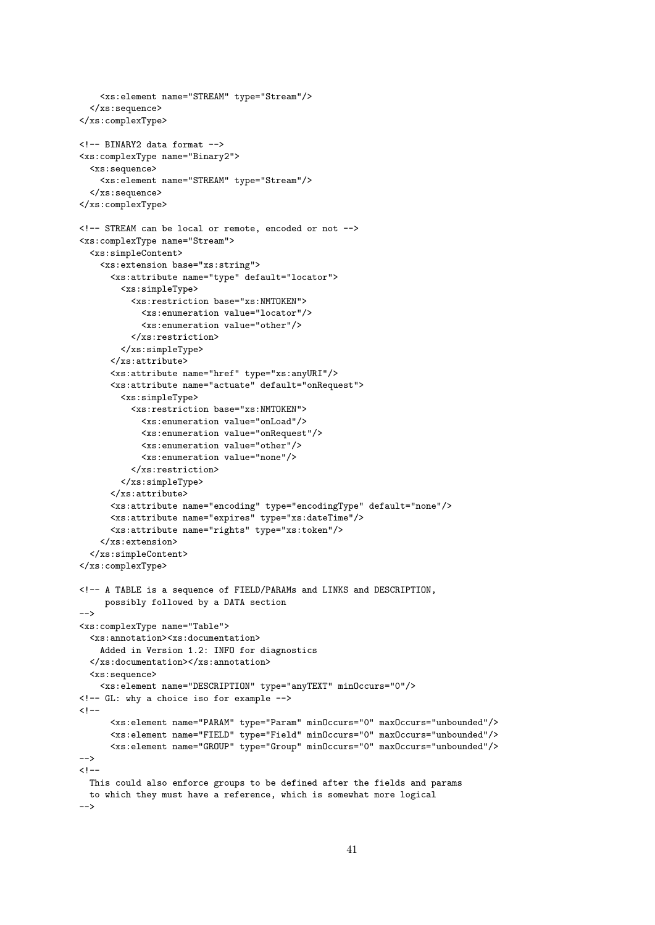```
<xs:element name="STREAM" type="Stream"/>
  </xs:sequence>
</xs:complexType>
<!-- BINARY2 data format -->
<xs:complexType name="Binary2">
  <xs:sequence>
    <xs:element name="STREAM" type="Stream"/>
  </xs:sequence>
</xs:complexType>
<!-- STREAM can be local or remote, encoded or not -->
<xs:complexType name="Stream">
  <xs:simpleContent>
    <xs:extension base="xs:string">
      <xs:attribute name="type" default="locator">
        <xs:simpleType>
          <xs:restriction base="xs:NMTOKEN">
            <xs:enumeration value="locator"/>
            <xs:enumeration value="other"/>
          </xs:restriction>
        </xs:simpleType>
      </xs:attribute>
      <xs:attribute name="href" type="xs:anyURI"/>
      <xs:attribute name="actuate" default="onRequest">
        <xs:simpleType>
          <xs:restriction base="xs:NMTOKEN">
            <xs:enumeration value="onLoad"/>
            <xs:enumeration value="onRequest"/>
            <xs:enumeration value="other"/>
            <xs:enumeration value="none"/>
          </xs:restriction>
        </xs:simpleType>
      </xs:attribute>
      <xs:attribute name="encoding" type="encodingType" default="none"/>
      <xs:attribute name="expires" type="xs:dateTime"/>
      <xs:attribute name="rights" type="xs:token"/>
    </xs:extension>
  </xs:simpleContent>
</xs:complexType>
<!-- A TABLE is a sequence of FIELD/PARAMs and LINKS and DESCRIPTION,
    possibly followed by a DATA section
-->
<xs:complexType name="Table">
 <xs:annotation><xs:documentation>
    Added in Version 1.2: INFO for diagnostics
  </xs:documentation></xs:annotation>
  <xs:sequence>
    <xs:element name="DESCRIPTION" type="anyTEXT" minOccurs="0"/>
<!-- GL: why a choice iso for example -->
1 - -<xs:element name="PARAM" type="Param" minOccurs="0" maxOccurs="unbounded"/>
      <xs:element name="FIELD" type="Field" minOccurs="0" maxOccurs="unbounded"/>
      <xs:element name="GROUP" type="Group" minOccurs="0" maxOccurs="unbounded"/>
-->
21 - -This could also enforce groups to be defined after the fields and params
 to which they must have a reference, which is somewhat more logical
--
```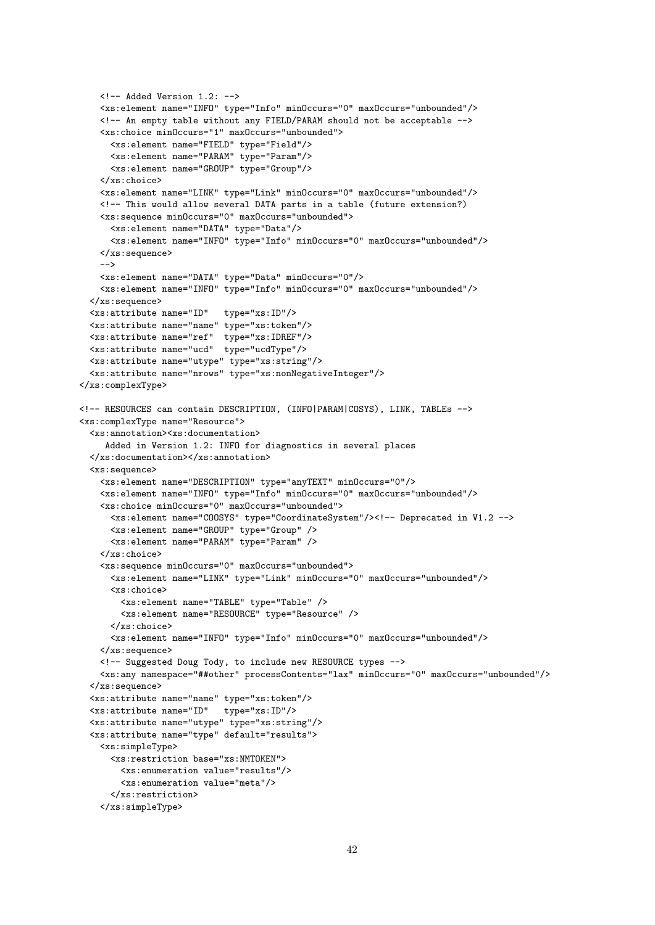```
<!-- Added Version 1.2: -->
    <xs:element name="INFO" type="Info" minOccurs="0" maxOccurs="unbounded"/>
    <!-- An empty table without any FIELD/PARAM should not be acceptable -->
    <xs:choice minOccurs="1" maxOccurs="unbounded">
      <xs:element name="FIELD" type="Field"/>
     <xs:element name="PARAM" type="Param"/>
      <xs:element name="GROUP" type="Group"/>
    </xs:choice>
    <xs:element name="LINK" type="Link" minOccurs="0" maxOccurs="unbounded"/>
    <!-- This would allow several DATA parts in a table (future extension?)
    <xs:sequence minOccurs="0" maxOccurs="unbounded">
     <xs:element name="DATA" type="Data"/>
      <xs:element name="INFO" type="Info" minOccurs="0" maxOccurs="unbounded"/>
    </xs:sequence>
    \rightarrow<xs:element name="DATA" type="Data" minOccurs="0"/>
    <xs:element name="INFO" type="Info" minOccurs="0" maxOccurs="unbounded"/>
  </xs:sequence>
  <xs:attribute name="ID" type="xs:ID"/>
  <xs:attribute name="name" type="xs:token"/>
  <xs:attribute name="ref" type="xs:IDREF"/>
  <xs:attribute name="ucd" type="ucdType"/>
 <xs:attribute name="utype" type="xs:string"/>
  <xs:attribute name="nrows" type="xs:nonNegativeInteger"/>
</xs:complexType>
<!-- RESOURCES can contain DESCRIPTION, (INFO|PARAM|COSYS), LINK, TABLEs -->
<xs:complexType name="Resource">
  <xs:annotation><xs:documentation>
     Added in Version 1.2: INFO for diagnostics in several places
  </xs:documentation></xs:annotation>
  <xs:sequence>
    <xs:element name="DESCRIPTION" type="anyTEXT" minOccurs="0"/>
    <xs:element name="INFO" type="Info" minOccurs="0" maxOccurs="unbounded"/>
    <xs:choice minOccurs="0" maxOccurs="unbounded">
      <xs:element name="COOSYS" type="CoordinateSystem"/><!-- Deprecated in V1.2 -->
      <xs:element name="GROUP" type="Group" />
      <xs:element name="PARAM" type="Param" />
    </xs:choice>
    <xs:sequence minOccurs="0" maxOccurs="unbounded">
     <xs:element name="LINK" type="Link" minOccurs="0" maxOccurs="unbounded"/>
      <xs:choice>
        <xs:element name="TABLE" type="Table" />
        <xs:element name="RESOURCE" type="Resource" />
     </xs:choice>
      <xs:element name="INFO" type="Info" minOccurs="0" maxOccurs="unbounded"/>
    </xs:sequence>
    <!-- Suggested Doug Tody, to include new RESOURCE types -->
    <xs:any namespace="##other" processContents="lax" minOccurs="0" maxOccurs="unbounded"/>
  </xs:sequence>
  <xs:attribute name="name" type="xs:token"/>
  <xs:attribute name="ID" type="xs:ID"/>
  <xs:attribute name="utype" type="xs:string"/>
  <xs:attribute name="type" default="results">
    <xs:simpleType>
      <xs:restriction base="xs:NMTOKEN">
        <xs:enumeration value="results"/>
        <xs:enumeration value="meta"/>
      </xs:restriction>
    </xs:simpleType>
```